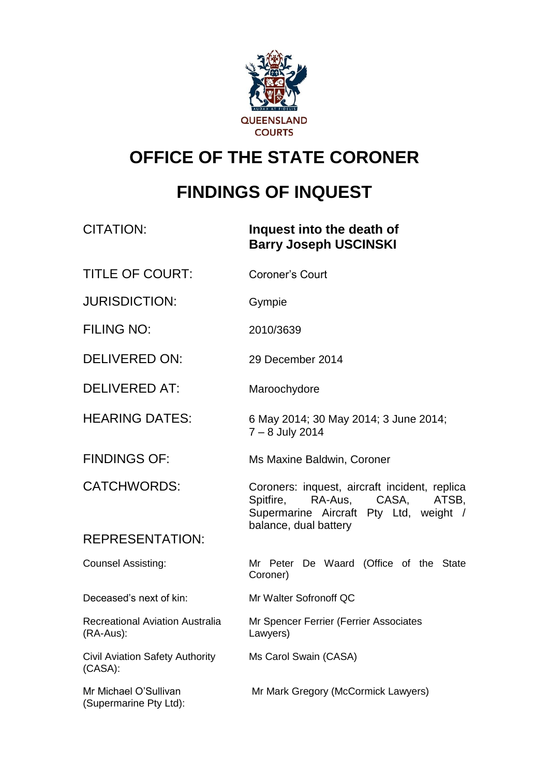

# **OFFICE OF THE STATE CORONER**

# **FINDINGS OF INQUEST**

| <b>CITATION:</b>                                    | Inquest into the death of<br><b>Barry Joseph USCINSKI</b>                                                                      |
|-----------------------------------------------------|--------------------------------------------------------------------------------------------------------------------------------|
| <b>TITLE OF COURT:</b>                              | Coroner's Court                                                                                                                |
| <b>JURISDICTION:</b>                                | Gympie                                                                                                                         |
| <b>FILING NO:</b>                                   | 2010/3639                                                                                                                      |
| <b>DELIVERED ON:</b>                                | 29 December 2014                                                                                                               |
| <b>DELIVERED AT:</b>                                | Maroochydore                                                                                                                   |
| <b>HEARING DATES:</b>                               | 6 May 2014; 30 May 2014; 3 June 2014;<br>7 - 8 July 2014                                                                       |
| <b>FINDINGS OF:</b>                                 | Ms Maxine Baldwin, Coroner                                                                                                     |
| <b>CATCHWORDS:</b>                                  | Coroners: inquest, aircraft incident, replica<br>RA-Aus, CASA,<br>Spitfire,<br>ATSB,<br>Supermarine Aircraft Pty Ltd, weight / |
| <b>REPRESENTATION:</b>                              | balance, dual battery                                                                                                          |
| Counsel Assisting:                                  | Mr Peter De Waard (Office of the State<br>Coroner)                                                                             |
| Deceased's next of kin:                             | Mr Walter Sofronoff QC                                                                                                         |
| <b>Recreational Aviation Australia</b><br>(RA-Aus): | Mr Spencer Ferrier (Ferrier Associates<br>Lawyers)                                                                             |
| Civil Aviation Safety Authority<br>(CASA):          | Ms Carol Swain (CASA)                                                                                                          |
| Mr Michael O'Sullivan<br>(Supermarine Pty Ltd):     | Mr Mark Gregory (McCormick Lawyers)                                                                                            |
|                                                     |                                                                                                                                |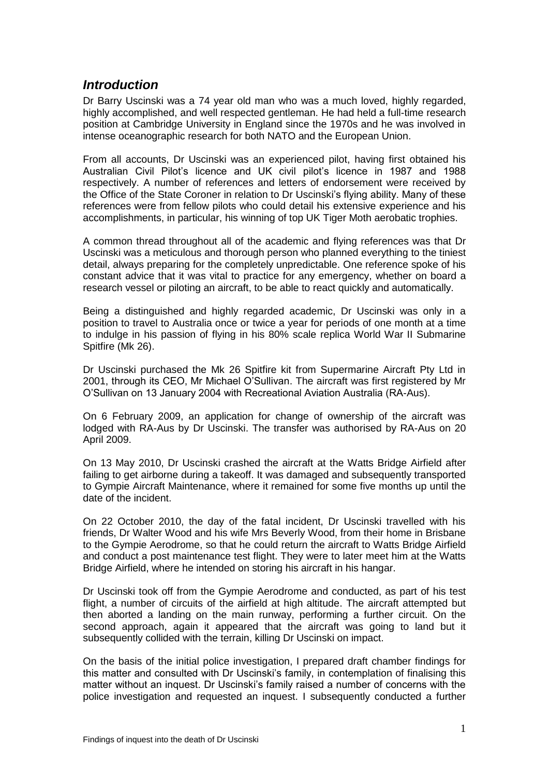# *Introduction*

Dr Barry Uscinski was a 74 year old man who was a much loved, highly regarded, highly accomplished, and well respected gentleman. He had held a full-time research position at Cambridge University in England since the 1970s and he was involved in intense oceanographic research for both NATO and the European Union.

From all accounts, Dr Uscinski was an experienced pilot, having first obtained his Australian Civil Pilot's licence and UK civil pilot's licence in 1987 and 1988 respectively. A number of references and letters of endorsement were received by the Office of the State Coroner in relation to Dr Uscinski's flying ability. Many of these references were from fellow pilots who could detail his extensive experience and his accomplishments, in particular, his winning of top UK Tiger Moth aerobatic trophies.

A common thread throughout all of the academic and flying references was that Dr Uscinski was a meticulous and thorough person who planned everything to the tiniest detail, always preparing for the completely unpredictable. One reference spoke of his constant advice that it was vital to practice for any emergency, whether on board a research vessel or piloting an aircraft, to be able to react quickly and automatically.

Being a distinguished and highly regarded academic, Dr Uscinski was only in a position to travel to Australia once or twice a year for periods of one month at a time to indulge in his passion of flying in his 80% scale replica World War II Submarine Spitfire (Mk 26).

Dr Uscinski purchased the Mk 26 Spitfire kit from Supermarine Aircraft Pty Ltd in 2001, through its CEO, Mr Michael O'Sullivan. The aircraft was first registered by Mr O'Sullivan on 13 January 2004 with Recreational Aviation Australia (RA-Aus).

On 6 February 2009, an application for change of ownership of the aircraft was lodged with RA-Aus by Dr Uscinski. The transfer was authorised by RA-Aus on 20 April 2009.

On 13 May 2010, Dr Uscinski crashed the aircraft at the Watts Bridge Airfield after failing to get airborne during a takeoff. It was damaged and subsequently transported to Gympie Aircraft Maintenance, where it remained for some five months up until the date of the incident.

On 22 October 2010, the day of the fatal incident, Dr Uscinski travelled with his friends, Dr Walter Wood and his wife Mrs Beverly Wood, from their home in Brisbane to the Gympie Aerodrome, so that he could return the aircraft to Watts Bridge Airfield and conduct a post maintenance test flight. They were to later meet him at the Watts Bridge Airfield, where he intended on storing his aircraft in his hangar.

Dr Uscinski took off from the Gympie Aerodrome and conducted, as part of his test flight, a number of circuits of the airfield at high altitude. The aircraft attempted but then aborted a landing on the main runway, performing a further circuit. On the second approach, again it appeared that the aircraft was going to land but it subsequently collided with the terrain, killing Dr Uscinski on impact.

On the basis of the initial police investigation, I prepared draft chamber findings for this matter and consulted with Dr Uscinski's family, in contemplation of finalising this matter without an inquest. Dr Uscinski's family raised a number of concerns with the police investigation and requested an inquest. I subsequently conducted a further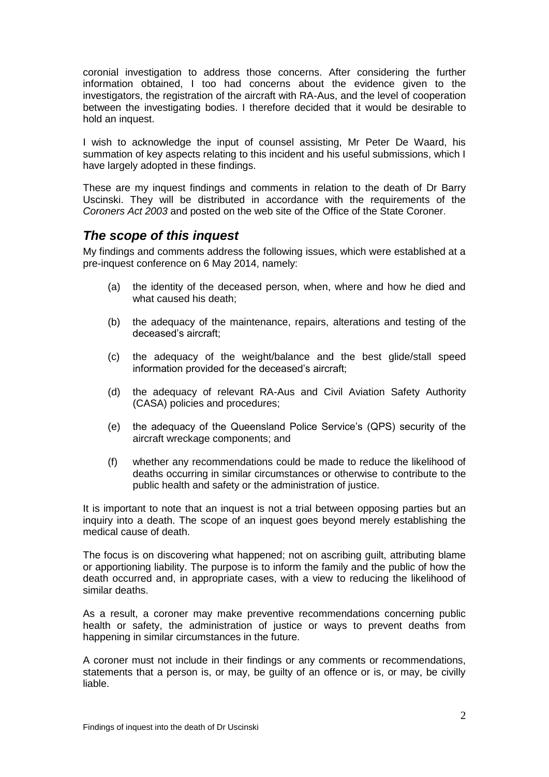coronial investigation to address those concerns. After considering the further information obtained, I too had concerns about the evidence given to the investigators, the registration of the aircraft with RA-Aus, and the level of cooperation between the investigating bodies. I therefore decided that it would be desirable to hold an inquest.

I wish to acknowledge the input of counsel assisting, Mr Peter De Waard, his summation of key aspects relating to this incident and his useful submissions, which I have largely adopted in these findings.

These are my inquest findings and comments in relation to the death of Dr Barry Uscinski. They will be distributed in accordance with the requirements of the *Coroners Act 2003* and posted on the web site of the Office of the State Coroner.

# *The scope of this inquest*

My findings and comments address the following issues, which were established at a pre-inquest conference on 6 May 2014, namely:

- (a) the identity of the deceased person, when, where and how he died and what caused his death;
- (b) the adequacy of the maintenance, repairs, alterations and testing of the deceased's aircraft;
- (c) the adequacy of the weight/balance and the best glide/stall speed information provided for the deceased's aircraft;
- (d) the adequacy of relevant RA-Aus and Civil Aviation Safety Authority (CASA) policies and procedures;
- (e) the adequacy of the Queensland Police Service's (QPS) security of the aircraft wreckage components; and
- (f) whether any recommendations could be made to reduce the likelihood of deaths occurring in similar circumstances or otherwise to contribute to the public health and safety or the administration of justice.

It is important to note that an inquest is not a trial between opposing parties but an inquiry into a death. The scope of an inquest goes beyond merely establishing the medical cause of death.

The focus is on discovering what happened; not on ascribing guilt, attributing blame or apportioning liability. The purpose is to inform the family and the public of how the death occurred and, in appropriate cases, with a view to reducing the likelihood of similar deaths.

As a result, a coroner may make preventive recommendations concerning public health or safety, the administration of justice or ways to prevent deaths from happening in similar circumstances in the future.

A coroner must not include in their findings or any comments or recommendations, statements that a person is, or may, be guilty of an offence or is, or may, be civilly liable.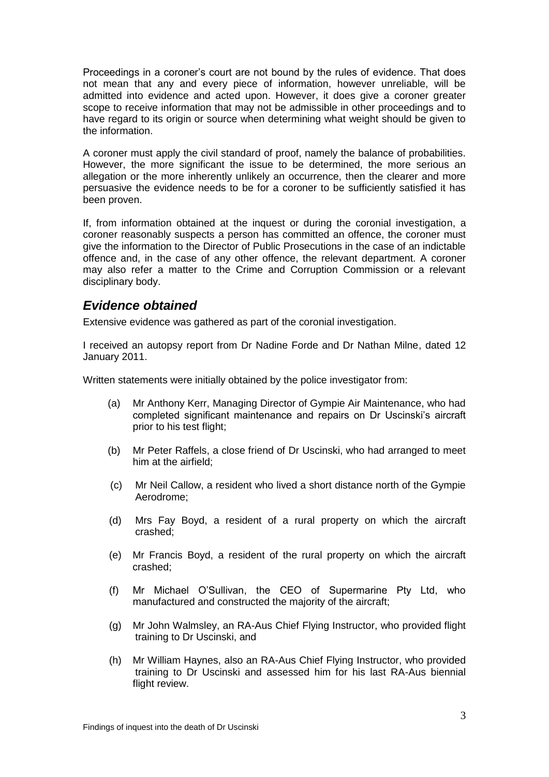Proceedings in a coroner's court are not bound by the rules of evidence. That does not mean that any and every piece of information, however unreliable, will be admitted into evidence and acted upon. However, it does give a coroner greater scope to receive information that may not be admissible in other proceedings and to have regard to its origin or source when determining what weight should be given to the information.

A coroner must apply the civil standard of proof, namely the balance of probabilities. However, the more significant the issue to be determined, the more serious an allegation or the more inherently unlikely an occurrence, then the clearer and more persuasive the evidence needs to be for a coroner to be sufficiently satisfied it has been proven.

If, from information obtained at the inquest or during the coronial investigation, a coroner reasonably suspects a person has committed an offence, the coroner must give the information to the Director of Public Prosecutions in the case of an indictable offence and, in the case of any other offence, the relevant department. A coroner may also refer a matter to the Crime and Corruption Commission or a relevant disciplinary body.

# *Evidence obtained*

Extensive evidence was gathered as part of the coronial investigation.

I received an autopsy report from Dr Nadine Forde and Dr Nathan Milne, dated 12 January 2011.

Written statements were initially obtained by the police investigator from:

- (a) Mr Anthony Kerr, Managing Director of Gympie Air Maintenance, who had completed significant maintenance and repairs on Dr Uscinski's aircraft prior to his test flight;
- (b) Mr Peter Raffels, a close friend of Dr Uscinski, who had arranged to meet him at the airfield;
- (c) Mr Neil Callow, a resident who lived a short distance north of the Gympie Aerodrome;
- (d) Mrs Fay Boyd, a resident of a rural property on which the aircraft crashed;
- (e) Mr Francis Boyd, a resident of the rural property on which the aircraft crashed;
- (f) Mr Michael O'Sullivan, the CEO of Supermarine Pty Ltd, who manufactured and constructed the majority of the aircraft;
- (g) Mr John Walmsley, an RA-Aus Chief Flying Instructor, who provided flight training to Dr Uscinski, and
- (h) Mr William Haynes, also an RA-Aus Chief Flying Instructor, who provided training to Dr Uscinski and assessed him for his last RA-Aus biennial flight review.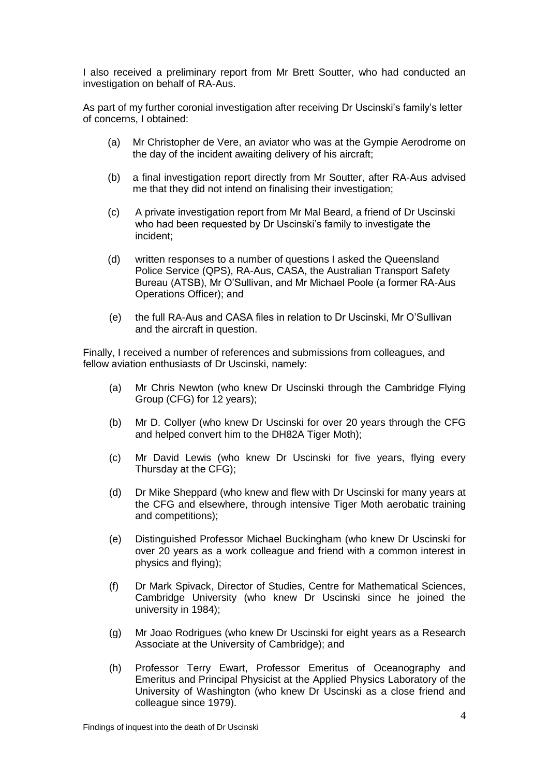I also received a preliminary report from Mr Brett Soutter, who had conducted an investigation on behalf of RA-Aus.

As part of my further coronial investigation after receiving Dr Uscinski's family's letter of concerns, I obtained:

- (a) Mr Christopher de Vere, an aviator who was at the Gympie Aerodrome on the day of the incident awaiting delivery of his aircraft;
- (b) a final investigation report directly from Mr Soutter, after RA-Aus advised me that they did not intend on finalising their investigation;
- (c) A private investigation report from Mr Mal Beard, a friend of Dr Uscinski who had been requested by Dr Uscinski's family to investigate the incident;
- (d) written responses to a number of questions I asked the Queensland Police Service (QPS), RA-Aus, CASA, the Australian Transport Safety Bureau (ATSB), Mr O'Sullivan, and Mr Michael Poole (a former RA-Aus Operations Officer); and
- (e) the full RA-Aus and CASA files in relation to Dr Uscinski, Mr O'Sullivan and the aircraft in question.

Finally, I received a number of references and submissions from colleagues, and fellow aviation enthusiasts of Dr Uscinski, namely:

- (a) Mr Chris Newton (who knew Dr Uscinski through the Cambridge Flying Group (CFG) for 12 years);
- (b) Mr D. Collyer (who knew Dr Uscinski for over 20 years through the CFG and helped convert him to the DH82A Tiger Moth);
- (c) Mr David Lewis (who knew Dr Uscinski for five years, flying every Thursday at the CFG);
- (d) Dr Mike Sheppard (who knew and flew with Dr Uscinski for many years at the CFG and elsewhere, through intensive Tiger Moth aerobatic training and competitions);
- (e) Distinguished Professor Michael Buckingham (who knew Dr Uscinski for over 20 years as a work colleague and friend with a common interest in physics and flying);
- (f) Dr Mark Spivack, Director of Studies, Centre for Mathematical Sciences, Cambridge University (who knew Dr Uscinski since he joined the university in 1984);
- (g) Mr Joao Rodrigues (who knew Dr Uscinski for eight years as a Research Associate at the University of Cambridge); and
- (h) Professor Terry Ewart, Professor Emeritus of Oceanography and Emeritus and Principal Physicist at the Applied Physics Laboratory of the University of Washington (who knew Dr Uscinski as a close friend and colleague since 1979).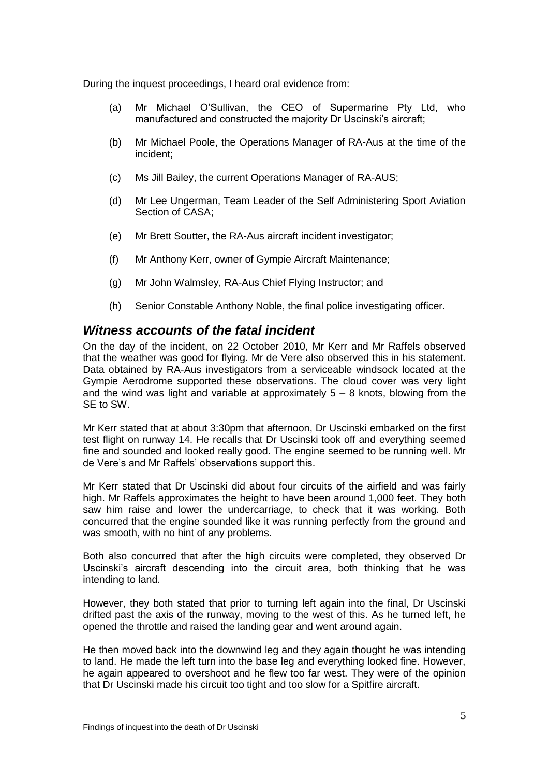During the inquest proceedings, I heard oral evidence from:

- (a) Mr Michael O'Sullivan, the CEO of Supermarine Pty Ltd, who manufactured and constructed the majority Dr Uscinski's aircraft;
- (b) Mr Michael Poole, the Operations Manager of RA-Aus at the time of the incident;
- (c) Ms Jill Bailey, the current Operations Manager of RA-AUS;
- (d) Mr Lee Ungerman, Team Leader of the Self Administering Sport Aviation Section of CASA;
- (e) Mr Brett Soutter, the RA-Aus aircraft incident investigator;
- (f) Mr Anthony Kerr, owner of Gympie Aircraft Maintenance;
- (g) Mr John Walmsley, RA-Aus Chief Flying Instructor; and
- (h) Senior Constable Anthony Noble, the final police investigating officer.

#### *Witness accounts of the fatal incident*

On the day of the incident, on 22 October 2010, Mr Kerr and Mr Raffels observed that the weather was good for flying. Mr de Vere also observed this in his statement. Data obtained by RA-Aus investigators from a serviceable windsock located at the Gympie Aerodrome supported these observations. The cloud cover was very light and the wind was light and variable at approximately  $5 - 8$  knots, blowing from the SE to SW.

Mr Kerr stated that at about 3:30pm that afternoon, Dr Uscinski embarked on the first test flight on runway 14. He recalls that Dr Uscinski took off and everything seemed fine and sounded and looked really good. The engine seemed to be running well. Mr de Vere's and Mr Raffels' observations support this.

Mr Kerr stated that Dr Uscinski did about four circuits of the airfield and was fairly high. Mr Raffels approximates the height to have been around 1,000 feet. They both saw him raise and lower the undercarriage, to check that it was working. Both concurred that the engine sounded like it was running perfectly from the ground and was smooth, with no hint of any problems.

Both also concurred that after the high circuits were completed, they observed Dr Uscinski's aircraft descending into the circuit area, both thinking that he was intending to land.

However, they both stated that prior to turning left again into the final, Dr Uscinski drifted past the axis of the runway, moving to the west of this. As he turned left, he opened the throttle and raised the landing gear and went around again.

He then moved back into the downwind leg and they again thought he was intending to land. He made the left turn into the base leg and everything looked fine. However, he again appeared to overshoot and he flew too far west. They were of the opinion that Dr Uscinski made his circuit too tight and too slow for a Spitfire aircraft.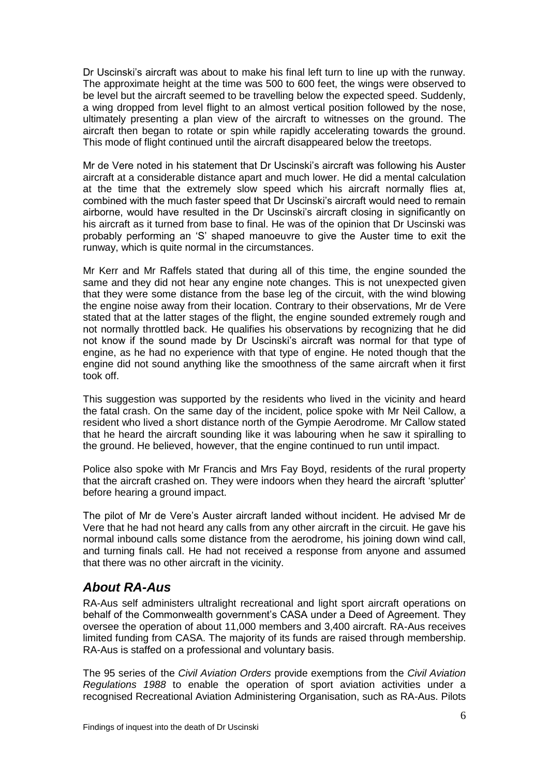Dr Uscinski's aircraft was about to make his final left turn to line up with the runway. The approximate height at the time was 500 to 600 feet, the wings were observed to be level but the aircraft seemed to be travelling below the expected speed. Suddenly, a wing dropped from level flight to an almost vertical position followed by the nose, ultimately presenting a plan view of the aircraft to witnesses on the ground. The aircraft then began to rotate or spin while rapidly accelerating towards the ground. This mode of flight continued until the aircraft disappeared below the treetops.

Mr de Vere noted in his statement that Dr Uscinski's aircraft was following his Auster aircraft at a considerable distance apart and much lower. He did a mental calculation at the time that the extremely slow speed which his aircraft normally flies at, combined with the much faster speed that Dr Uscinski's aircraft would need to remain airborne, would have resulted in the Dr Uscinski's aircraft closing in significantly on his aircraft as it turned from base to final. He was of the opinion that Dr Uscinski was probably performing an 'S' shaped manoeuvre to give the Auster time to exit the runway, which is quite normal in the circumstances.

Mr Kerr and Mr Raffels stated that during all of this time, the engine sounded the same and they did not hear any engine note changes. This is not unexpected given that they were some distance from the base leg of the circuit, with the wind blowing the engine noise away from their location. Contrary to their observations, Mr de Vere stated that at the latter stages of the flight, the engine sounded extremely rough and not normally throttled back. He qualifies his observations by recognizing that he did not know if the sound made by Dr Uscinski's aircraft was normal for that type of engine, as he had no experience with that type of engine. He noted though that the engine did not sound anything like the smoothness of the same aircraft when it first took off.

This suggestion was supported by the residents who lived in the vicinity and heard the fatal crash. On the same day of the incident, police spoke with Mr Neil Callow, a resident who lived a short distance north of the Gympie Aerodrome. Mr Callow stated that he heard the aircraft sounding like it was labouring when he saw it spiralling to the ground. He believed, however, that the engine continued to run until impact.

Police also spoke with Mr Francis and Mrs Fay Boyd, residents of the rural property that the aircraft crashed on. They were indoors when they heard the aircraft 'splutter' before hearing a ground impact.

The pilot of Mr de Vere's Auster aircraft landed without incident. He advised Mr de Vere that he had not heard any calls from any other aircraft in the circuit. He gave his normal inbound calls some distance from the aerodrome, his joining down wind call, and turning finals call. He had not received a response from anyone and assumed that there was no other aircraft in the vicinity.

# *About RA-Aus*

RA-Aus self administers ultralight recreational and light sport aircraft operations on behalf of the Commonwealth government's CASA under a Deed of Agreement. They oversee the operation of about 11,000 members and 3,400 aircraft. RA-Aus receives limited funding from CASA. The majority of its funds are raised through membership. RA-Aus is staffed on a professional and voluntary basis.

The 95 series of the *Civil Aviation Orders* provide exemptions from the *Civil Aviation Regulations 1988* to enable the operation of sport aviation activities under a recognised Recreational Aviation Administering Organisation, such as RA-Aus. Pilots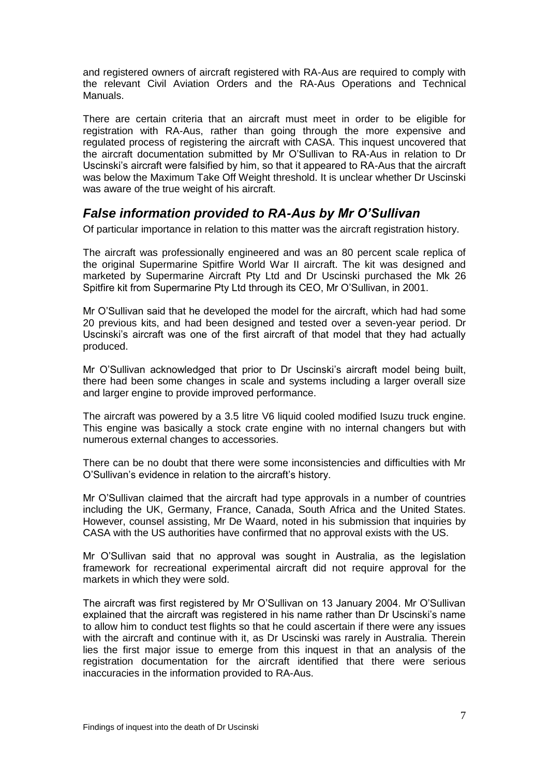and registered owners of aircraft registered with RA-Aus are required to comply with the relevant Civil Aviation Orders and the RA-Aus Operations and Technical Manuals.

There are certain criteria that an aircraft must meet in order to be eligible for registration with RA-Aus, rather than going through the more expensive and regulated process of registering the aircraft with CASA. This inquest uncovered that the aircraft documentation submitted by Mr O'Sullivan to RA-Aus in relation to Dr Uscinski's aircraft were falsified by him, so that it appeared to RA-Aus that the aircraft was below the Maximum Take Off Weight threshold. It is unclear whether Dr Uscinski was aware of the true weight of his aircraft.

# *False information provided to RA-Aus by Mr O'Sullivan*

Of particular importance in relation to this matter was the aircraft registration history.

The aircraft was professionally engineered and was an 80 percent scale replica of the original Supermarine Spitfire World War II aircraft. The kit was designed and marketed by Supermarine Aircraft Pty Ltd and Dr Uscinski purchased the Mk 26 Spitfire kit from Supermarine Pty Ltd through its CEO, Mr O'Sullivan, in 2001.

Mr O'Sullivan said that he developed the model for the aircraft, which had had some 20 previous kits, and had been designed and tested over a seven-year period. Dr Uscinski's aircraft was one of the first aircraft of that model that they had actually produced.

Mr O'Sullivan acknowledged that prior to Dr Uscinski's aircraft model being built, there had been some changes in scale and systems including a larger overall size and larger engine to provide improved performance.

The aircraft was powered by a 3.5 litre V6 liquid cooled modified Isuzu truck engine. This engine was basically a stock crate engine with no internal changers but with numerous external changes to accessories.

There can be no doubt that there were some inconsistencies and difficulties with Mr O'Sullivan's evidence in relation to the aircraft's history.

Mr O'Sullivan claimed that the aircraft had type approvals in a number of countries including the UK, Germany, France, Canada, South Africa and the United States. However, counsel assisting, Mr De Waard, noted in his submission that inquiries by CASA with the US authorities have confirmed that no approval exists with the US.

Mr O'Sullivan said that no approval was sought in Australia, as the legislation framework for recreational experimental aircraft did not require approval for the markets in which they were sold.

The aircraft was first registered by Mr O'Sullivan on 13 January 2004. Mr O'Sullivan explained that the aircraft was registered in his name rather than Dr Uscinski's name to allow him to conduct test flights so that he could ascertain if there were any issues with the aircraft and continue with it, as Dr Uscinski was rarely in Australia. Therein lies the first major issue to emerge from this inquest in that an analysis of the registration documentation for the aircraft identified that there were serious inaccuracies in the information provided to RA-Aus.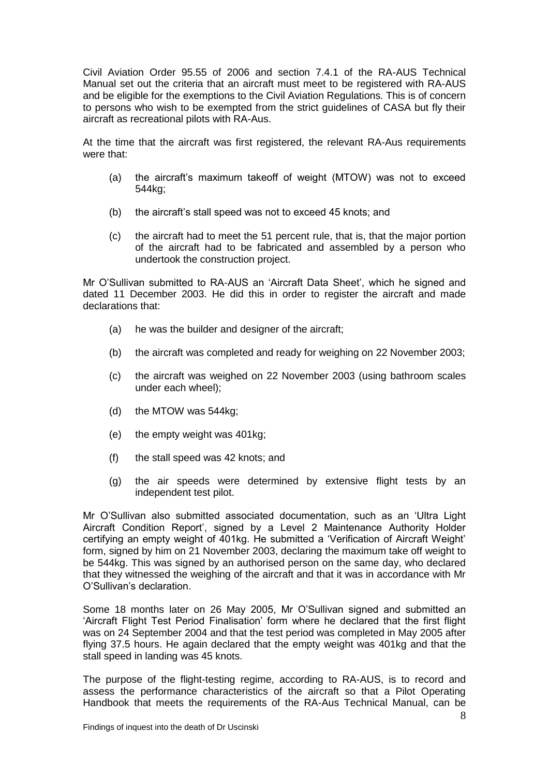Civil Aviation Order 95.55 of 2006 and section 7.4.1 of the RA-AUS Technical Manual set out the criteria that an aircraft must meet to be registered with RA-AUS and be eligible for the exemptions to the Civil Aviation Regulations. This is of concern to persons who wish to be exempted from the strict guidelines of CASA but fly their aircraft as recreational pilots with RA-Aus.

At the time that the aircraft was first registered, the relevant RA-Aus requirements were that:

- (a) the aircraft's maximum takeoff of weight (MTOW) was not to exceed 544kg;
- (b) the aircraft's stall speed was not to exceed 45 knots; and
- (c) the aircraft had to meet the 51 percent rule, that is, that the major portion of the aircraft had to be fabricated and assembled by a person who undertook the construction project.

Mr O'Sullivan submitted to RA-AUS an 'Aircraft Data Sheet', which he signed and dated 11 December 2003. He did this in order to register the aircraft and made declarations that:

- (a) he was the builder and designer of the aircraft;
- (b) the aircraft was completed and ready for weighing on 22 November 2003;
- (c) the aircraft was weighed on 22 November 2003 (using bathroom scales under each wheel);
- (d) the MTOW was 544kg;
- (e) the empty weight was 401kg;
- (f) the stall speed was 42 knots; and
- (g) the air speeds were determined by extensive flight tests by an independent test pilot.

Mr O'Sullivan also submitted associated documentation, such as an 'Ultra Light Aircraft Condition Report', signed by a Level 2 Maintenance Authority Holder certifying an empty weight of 401kg. He submitted a 'Verification of Aircraft Weight' form, signed by him on 21 November 2003, declaring the maximum take off weight to be 544kg. This was signed by an authorised person on the same day, who declared that they witnessed the weighing of the aircraft and that it was in accordance with Mr O'Sullivan's declaration.

Some 18 months later on 26 May 2005, Mr O'Sullivan signed and submitted an 'Aircraft Flight Test Period Finalisation' form where he declared that the first flight was on 24 September 2004 and that the test period was completed in May 2005 after flying 37.5 hours. He again declared that the empty weight was 401kg and that the stall speed in landing was 45 knots.

The purpose of the flight-testing regime, according to RA-AUS, is to record and assess the performance characteristics of the aircraft so that a Pilot Operating Handbook that meets the requirements of the RA-Aus Technical Manual, can be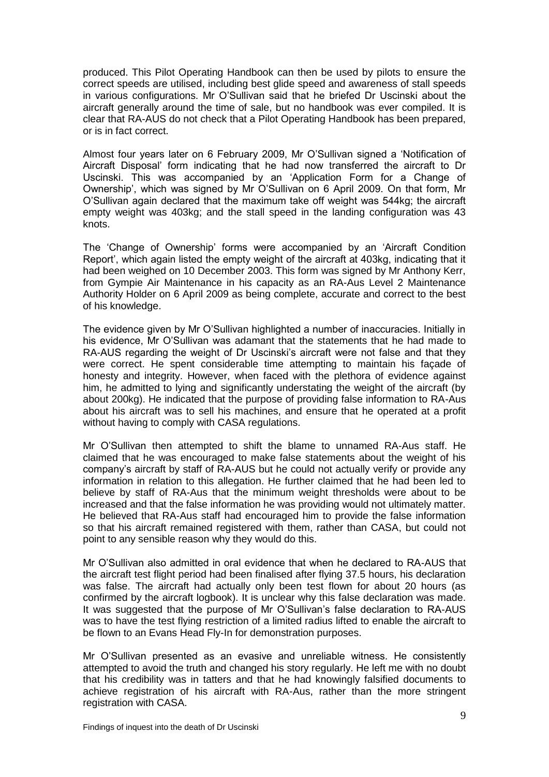produced. This Pilot Operating Handbook can then be used by pilots to ensure the correct speeds are utilised, including best glide speed and awareness of stall speeds in various configurations. Mr O'Sullivan said that he briefed Dr Uscinski about the aircraft generally around the time of sale, but no handbook was ever compiled. It is clear that RA-AUS do not check that a Pilot Operating Handbook has been prepared, or is in fact correct.

Almost four years later on 6 February 2009, Mr O'Sullivan signed a 'Notification of Aircraft Disposal' form indicating that he had now transferred the aircraft to Dr Uscinski. This was accompanied by an 'Application Form for a Change of Ownership', which was signed by Mr O'Sullivan on 6 April 2009. On that form, Mr O'Sullivan again declared that the maximum take off weight was 544kg; the aircraft empty weight was 403kg; and the stall speed in the landing configuration was 43 knots.

The 'Change of Ownership' forms were accompanied by an 'Aircraft Condition Report', which again listed the empty weight of the aircraft at 403kg, indicating that it had been weighed on 10 December 2003. This form was signed by Mr Anthony Kerr, from Gympie Air Maintenance in his capacity as an RA-Aus Level 2 Maintenance Authority Holder on 6 April 2009 as being complete, accurate and correct to the best of his knowledge.

The evidence given by Mr O'Sullivan highlighted a number of inaccuracies. Initially in his evidence, Mr O'Sullivan was adamant that the statements that he had made to RA-AUS regarding the weight of Dr Uscinski's aircraft were not false and that they were correct. He spent considerable time attempting to maintain his façade of honesty and integrity. However, when faced with the plethora of evidence against him, he admitted to lying and significantly understating the weight of the aircraft (by about 200kg). He indicated that the purpose of providing false information to RA-Aus about his aircraft was to sell his machines, and ensure that he operated at a profit without having to comply with CASA regulations.

Mr O'Sullivan then attempted to shift the blame to unnamed RA-Aus staff. He claimed that he was encouraged to make false statements about the weight of his company's aircraft by staff of RA-AUS but he could not actually verify or provide any information in relation to this allegation. He further claimed that he had been led to believe by staff of RA-Aus that the minimum weight thresholds were about to be increased and that the false information he was providing would not ultimately matter. He believed that RA-Aus staff had encouraged him to provide the false information so that his aircraft remained registered with them, rather than CASA, but could not point to any sensible reason why they would do this.

Mr O'Sullivan also admitted in oral evidence that when he declared to RA-AUS that the aircraft test flight period had been finalised after flying 37.5 hours, his declaration was false. The aircraft had actually only been test flown for about 20 hours (as confirmed by the aircraft logbook). It is unclear why this false declaration was made. It was suggested that the purpose of Mr O'Sullivan's false declaration to RA-AUS was to have the test flying restriction of a limited radius lifted to enable the aircraft to be flown to an Evans Head Fly-In for demonstration purposes.

Mr O'Sullivan presented as an evasive and unreliable witness. He consistently attempted to avoid the truth and changed his story regularly. He left me with no doubt that his credibility was in tatters and that he had knowingly falsified documents to achieve registration of his aircraft with RA-Aus, rather than the more stringent registration with CASA.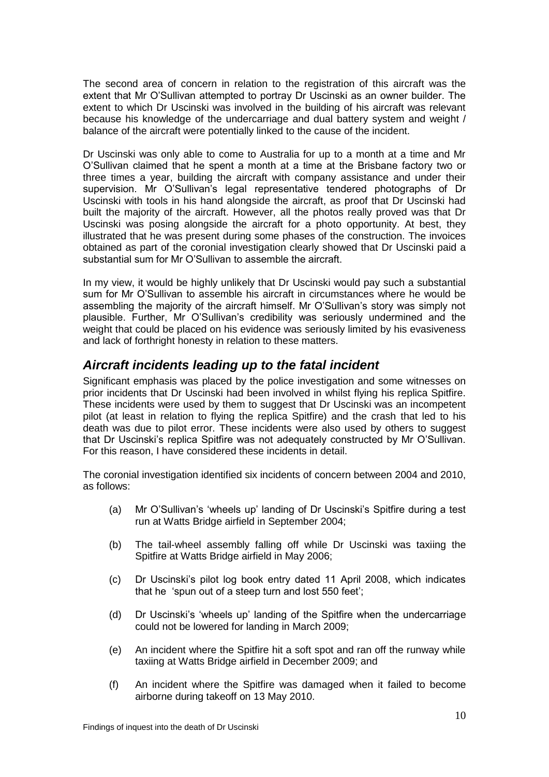The second area of concern in relation to the registration of this aircraft was the extent that Mr O'Sullivan attempted to portray Dr Uscinski as an owner builder. The extent to which Dr Uscinski was involved in the building of his aircraft was relevant because his knowledge of the undercarriage and dual battery system and weight / balance of the aircraft were potentially linked to the cause of the incident.

Dr Uscinski was only able to come to Australia for up to a month at a time and Mr O'Sullivan claimed that he spent a month at a time at the Brisbane factory two or three times a year, building the aircraft with company assistance and under their supervision. Mr O'Sullivan's legal representative tendered photographs of Dr Uscinski with tools in his hand alongside the aircraft, as proof that Dr Uscinski had built the majority of the aircraft. However, all the photos really proved was that Dr Uscinski was posing alongside the aircraft for a photo opportunity. At best, they illustrated that he was present during some phases of the construction. The invoices obtained as part of the coronial investigation clearly showed that Dr Uscinski paid a substantial sum for Mr O'Sullivan to assemble the aircraft.

In my view, it would be highly unlikely that Dr Uscinski would pay such a substantial sum for Mr O'Sullivan to assemble his aircraft in circumstances where he would be assembling the majority of the aircraft himself. Mr O'Sullivan's story was simply not plausible. Further, Mr O'Sullivan's credibility was seriously undermined and the weight that could be placed on his evidence was seriously limited by his evasiveness and lack of forthright honesty in relation to these matters.

# *Aircraft incidents leading up to the fatal incident*

Significant emphasis was placed by the police investigation and some witnesses on prior incidents that Dr Uscinski had been involved in whilst flying his replica Spitfire. These incidents were used by them to suggest that Dr Uscinski was an incompetent pilot (at least in relation to flying the replica Spitfire) and the crash that led to his death was due to pilot error. These incidents were also used by others to suggest that Dr Uscinski's replica Spitfire was not adequately constructed by Mr O'Sullivan. For this reason, I have considered these incidents in detail.

The coronial investigation identified six incidents of concern between 2004 and 2010, as follows:

- (a) Mr O'Sullivan's 'wheels up' landing of Dr Uscinski's Spitfire during a test run at Watts Bridge airfield in September 2004;
- (b) The tail-wheel assembly falling off while Dr Uscinski was taxiing the Spitfire at Watts Bridge airfield in May 2006;
- (c) Dr Uscinski's pilot log book entry dated 11 April 2008, which indicates that he 'spun out of a steep turn and lost 550 feet';
- (d) Dr Uscinski's 'wheels up' landing of the Spitfire when the undercarriage could not be lowered for landing in March 2009;
- (e) An incident where the Spitfire hit a soft spot and ran off the runway while taxiing at Watts Bridge airfield in December 2009; and
- (f) An incident where the Spitfire was damaged when it failed to become airborne during takeoff on 13 May 2010.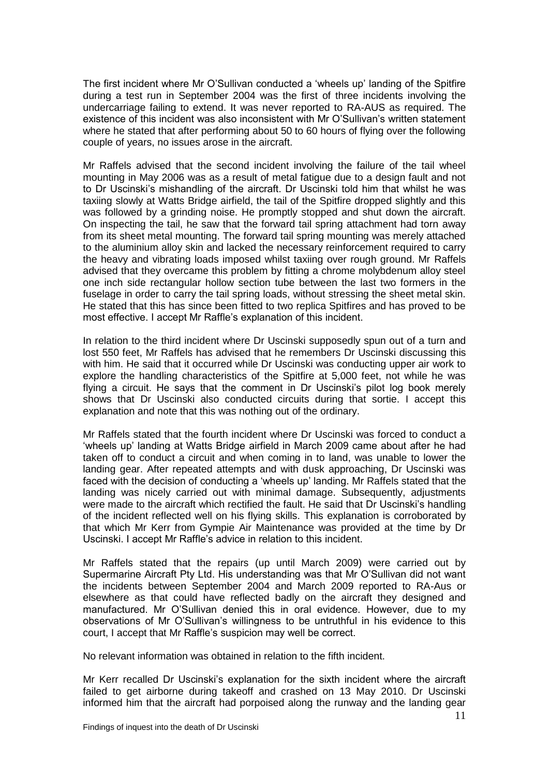The first incident where Mr O'Sullivan conducted a 'wheels up' landing of the Spitfire during a test run in September 2004 was the first of three incidents involving the undercarriage failing to extend. It was never reported to RA-AUS as required. The existence of this incident was also inconsistent with Mr O'Sullivan's written statement where he stated that after performing about 50 to 60 hours of flying over the following couple of years, no issues arose in the aircraft.

Mr Raffels advised that the second incident involving the failure of the tail wheel mounting in May 2006 was as a result of metal fatigue due to a design fault and not to Dr Uscinski's mishandling of the aircraft. Dr Uscinski told him that whilst he was taxiing slowly at Watts Bridge airfield, the tail of the Spitfire dropped slightly and this was followed by a grinding noise. He promptly stopped and shut down the aircraft. On inspecting the tail, he saw that the forward tail spring attachment had torn away from its sheet metal mounting. The forward tail spring mounting was merely attached to the aluminium alloy skin and lacked the necessary reinforcement required to carry the heavy and vibrating loads imposed whilst taxiing over rough ground. Mr Raffels advised that they overcame this problem by fitting a chrome molybdenum alloy steel one inch side rectangular hollow section tube between the last two formers in the fuselage in order to carry the tail spring loads, without stressing the sheet metal skin. He stated that this has since been fitted to two replica Spitfires and has proved to be most effective. I accept Mr Raffle's explanation of this incident.

In relation to the third incident where Dr Uscinski supposedly spun out of a turn and lost 550 feet, Mr Raffels has advised that he remembers Dr Uscinski discussing this with him. He said that it occurred while Dr Uscinski was conducting upper air work to explore the handling characteristics of the Spitfire at 5,000 feet, not while he was flying a circuit. He says that the comment in Dr Uscinski's pilot log book merely shows that Dr Uscinski also conducted circuits during that sortie. I accept this explanation and note that this was nothing out of the ordinary.

Mr Raffels stated that the fourth incident where Dr Uscinski was forced to conduct a 'wheels up' landing at Watts Bridge airfield in March 2009 came about after he had taken off to conduct a circuit and when coming in to land, was unable to lower the landing gear. After repeated attempts and with dusk approaching, Dr Uscinski was faced with the decision of conducting a 'wheels up' landing. Mr Raffels stated that the landing was nicely carried out with minimal damage. Subsequently, adjustments were made to the aircraft which rectified the fault. He said that Dr Uscinski's handling of the incident reflected well on his flying skills. This explanation is corroborated by that which Mr Kerr from Gympie Air Maintenance was provided at the time by Dr Uscinski. I accept Mr Raffle's advice in relation to this incident.

Mr Raffels stated that the repairs (up until March 2009) were carried out by Supermarine Aircraft Pty Ltd. His understanding was that Mr O'Sullivan did not want the incidents between September 2004 and March 2009 reported to RA-Aus or elsewhere as that could have reflected badly on the aircraft they designed and manufactured. Mr O'Sullivan denied this in oral evidence. However, due to my observations of Mr O'Sullivan's willingness to be untruthful in his evidence to this court, I accept that Mr Raffle's suspicion may well be correct.

No relevant information was obtained in relation to the fifth incident.

Mr Kerr recalled Dr Uscinski's explanation for the sixth incident where the aircraft failed to get airborne during takeoff and crashed on 13 May 2010. Dr Uscinski informed him that the aircraft had porpoised along the runway and the landing gear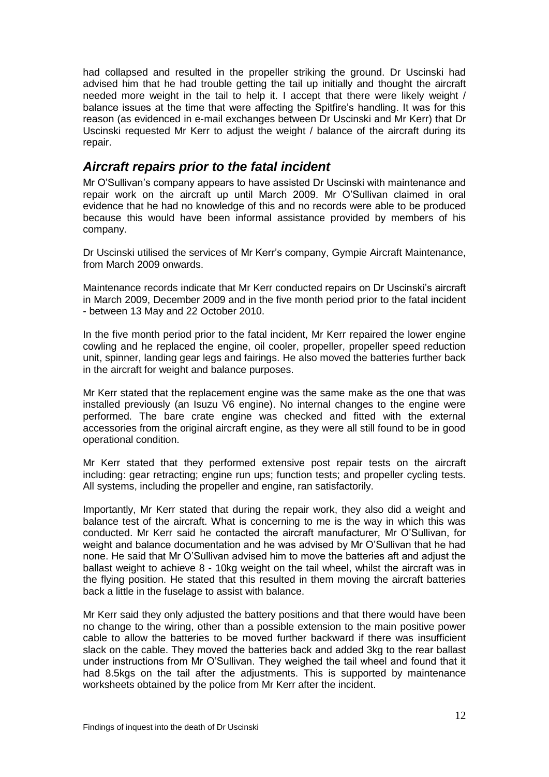had collapsed and resulted in the propeller striking the ground. Dr Uscinski had advised him that he had trouble getting the tail up initially and thought the aircraft needed more weight in the tail to help it. I accept that there were likely weight / balance issues at the time that were affecting the Spitfire's handling. It was for this reason (as evidenced in e-mail exchanges between Dr Uscinski and Mr Kerr) that Dr Uscinski requested Mr Kerr to adjust the weight / balance of the aircraft during its repair.

# *Aircraft repairs prior to the fatal incident*

Mr O'Sullivan's company appears to have assisted Dr Uscinski with maintenance and repair work on the aircraft up until March 2009. Mr O'Sullivan claimed in oral evidence that he had no knowledge of this and no records were able to be produced because this would have been informal assistance provided by members of his company.

Dr Uscinski utilised the services of Mr Kerr's company, Gympie Aircraft Maintenance, from March 2009 onwards.

Maintenance records indicate that Mr Kerr conducted repairs on Dr Uscinski's aircraft in March 2009, December 2009 and in the five month period prior to the fatal incident - between 13 May and 22 October 2010.

In the five month period prior to the fatal incident, Mr Kerr repaired the lower engine cowling and he replaced the engine, oil cooler, propeller, propeller speed reduction unit, spinner, landing gear legs and fairings. He also moved the batteries further back in the aircraft for weight and balance purposes.

Mr Kerr stated that the replacement engine was the same make as the one that was installed previously (an Isuzu V6 engine). No internal changes to the engine were performed. The bare crate engine was checked and fitted with the external accessories from the original aircraft engine, as they were all still found to be in good operational condition.

Mr Kerr stated that they performed extensive post repair tests on the aircraft including: gear retracting; engine run ups; function tests; and propeller cycling tests. All systems, including the propeller and engine, ran satisfactorily.

Importantly, Mr Kerr stated that during the repair work, they also did a weight and balance test of the aircraft. What is concerning to me is the way in which this was conducted. Mr Kerr said he contacted the aircraft manufacturer, Mr O'Sullivan, for weight and balance documentation and he was advised by Mr O'Sullivan that he had none. He said that Mr O'Sullivan advised him to move the batteries aft and adjust the ballast weight to achieve 8 - 10kg weight on the tail wheel, whilst the aircraft was in the flying position. He stated that this resulted in them moving the aircraft batteries back a little in the fuselage to assist with balance.

Mr Kerr said they only adjusted the battery positions and that there would have been no change to the wiring, other than a possible extension to the main positive power cable to allow the batteries to be moved further backward if there was insufficient slack on the cable. They moved the batteries back and added 3kg to the rear ballast under instructions from Mr O'Sullivan. They weighed the tail wheel and found that it had 8.5kgs on the tail after the adjustments. This is supported by maintenance worksheets obtained by the police from Mr Kerr after the incident.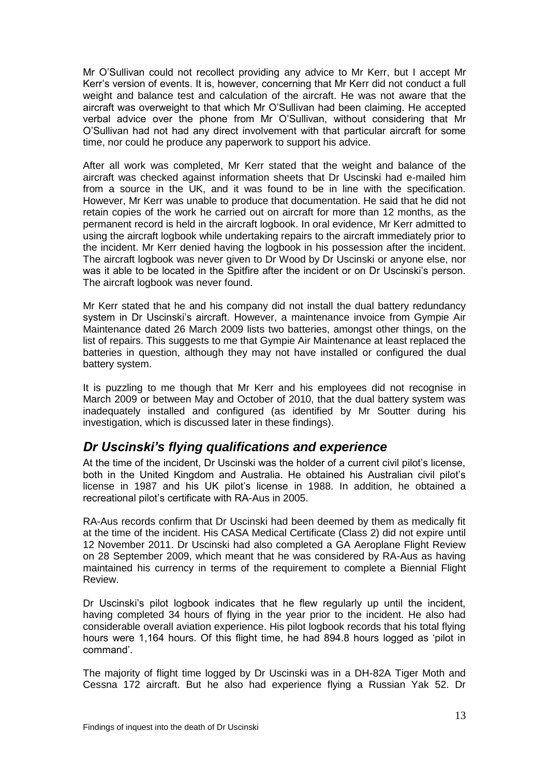Mr O'Sullivan could not recollect providing any advice to Mr Kerr, but I accept Mr Kerr's version of events. It is, however, concerning that Mr Kerr did not conduct a full weight and balance test and calculation of the aircraft. He was not aware that the aircraft was overweight to that which Mr O'Sullivan had been claiming. He accepted verbal advice over the phone from Mr O'Sullivan, without considering that Mr O'Sullivan had not had any direct involvement with that particular aircraft for some time, nor could he produce any paperwork to support his advice.

After all work was completed, Mr Kerr stated that the weight and balance of the aircraft was checked against information sheets that Dr Uscinski had e-mailed him from a source in the UK, and it was found to be in line with the specification. However, Mr Kerr was unable to produce that documentation. He said that he did not retain copies of the work he carried out on aircraft for more than 12 months, as the permanent record is held in the aircraft logbook. In oral evidence, Mr Kerr admitted to using the aircraft logbook while undertaking repairs to the aircraft immediately prior to the incident. Mr Kerr denied having the logbook in his possession after the incident. The aircraft logbook was never given to Dr Wood by Dr Uscinski or anyone else, nor was it able to be located in the Spitfire after the incident or on Dr Uscinski's person. The aircraft logbook was never found.

Mr Kerr stated that he and his company did not install the dual battery redundancy system in Dr Uscinski's aircraft. However, a maintenance invoice from Gympie Air Maintenance dated 26 March 2009 lists two batteries, amongst other things, on the list of repairs. This suggests to me that Gympie Air Maintenance at least replaced the batteries in question, although they may not have installed or configured the dual battery system.

It is puzzling to me though that Mr Kerr and his employees did not recognise in March 2009 or between May and October of 2010, that the dual battery system was inadequately installed and configured (as identified by Mr Soutter during his investigation, which is discussed later in these findings).

# *Dr Uscinski's flying qualifications and experience*

At the time of the incident, Dr Uscinski was the holder of a current civil pilot's license, both in the United Kingdom and Australia. He obtained his Australian civil pilot's license in 1987 and his UK pilot's license in 1988. In addition, he obtained a recreational pilot's certificate with RA-Aus in 2005.

RA-Aus records confirm that Dr Uscinski had been deemed by them as medically fit at the time of the incident. His CASA Medical Certificate (Class 2) did not expire until 12 November 2011. Dr Uscinski had also completed a GA Aeroplane Flight Review on 28 September 2009, which meant that he was considered by RA-Aus as having maintained his currency in terms of the requirement to complete a Biennial Flight Review.

Dr Uscinski's pilot logbook indicates that he flew regularly up until the incident, having completed 34 hours of flying in the year prior to the incident. He also had considerable overall aviation experience. His pilot logbook records that his total flying hours were 1,164 hours. Of this flight time, he had 894.8 hours logged as 'pilot in command'.

The majority of flight time logged by Dr Uscinski was in a DH-82A Tiger Moth and Cessna 172 aircraft. But he also had experience flying a Russian Yak 52. Dr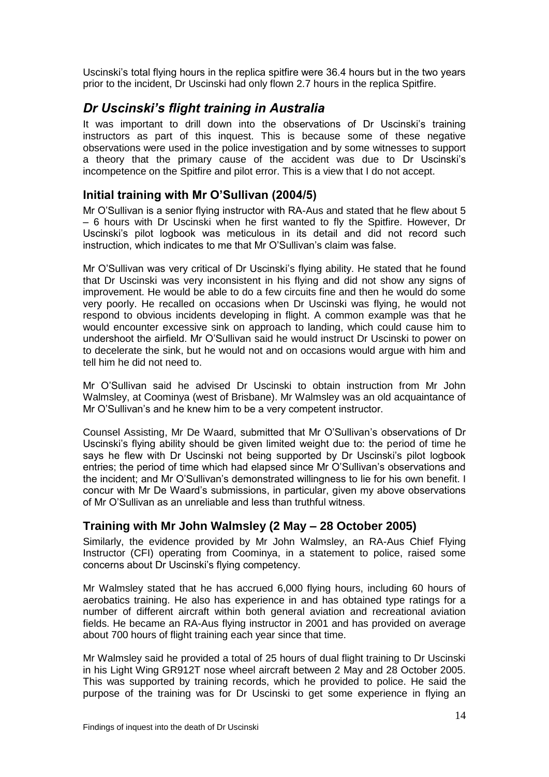Uscinski's total flying hours in the replica spitfire were 36.4 hours but in the two years prior to the incident, Dr Uscinski had only flown 2.7 hours in the replica Spitfire.

# *Dr Uscinski's flight training in Australia*

It was important to drill down into the observations of Dr Uscinski's training instructors as part of this inquest. This is because some of these negative observations were used in the police investigation and by some witnesses to support a theory that the primary cause of the accident was due to Dr Uscinski's incompetence on the Spitfire and pilot error. This is a view that I do not accept.

## **Initial training with Mr O'Sullivan (2004/5)**

Mr O'Sullivan is a senior flying instructor with RA-Aus and stated that he flew about 5 – 6 hours with Dr Uscinski when he first wanted to fly the Spitfire. However, Dr Uscinski's pilot logbook was meticulous in its detail and did not record such instruction, which indicates to me that Mr O'Sullivan's claim was false.

Mr O'Sullivan was very critical of Dr Uscinski's flying ability. He stated that he found that Dr Uscinski was very inconsistent in his flying and did not show any signs of improvement. He would be able to do a few circuits fine and then he would do some very poorly. He recalled on occasions when Dr Uscinski was flying, he would not respond to obvious incidents developing in flight. A common example was that he would encounter excessive sink on approach to landing, which could cause him to undershoot the airfield. Mr O'Sullivan said he would instruct Dr Uscinski to power on to decelerate the sink, but he would not and on occasions would argue with him and tell him he did not need to.

Mr O'Sullivan said he advised Dr Uscinski to obtain instruction from Mr John Walmsley, at Coominya (west of Brisbane). Mr Walmsley was an old acquaintance of Mr O'Sullivan's and he knew him to be a very competent instructor.

Counsel Assisting, Mr De Waard, submitted that Mr O'Sullivan's observations of Dr Uscinski's flying ability should be given limited weight due to: the period of time he says he flew with Dr Uscinski not being supported by Dr Uscinski's pilot logbook entries; the period of time which had elapsed since Mr O'Sullivan's observations and the incident; and Mr O'Sullivan's demonstrated willingness to lie for his own benefit. I concur with Mr De Waard's submissions, in particular, given my above observations of Mr O'Sullivan as an unreliable and less than truthful witness.

## **Training with Mr John Walmsley (2 May – 28 October 2005)**

Similarly, the evidence provided by Mr John Walmsley, an RA-Aus Chief Flying Instructor (CFI) operating from Coominya, in a statement to police, raised some concerns about Dr Uscinski's flying competency.

Mr Walmsley stated that he has accrued 6,000 flying hours, including 60 hours of aerobatics training. He also has experience in and has obtained type ratings for a number of different aircraft within both general aviation and recreational aviation fields. He became an RA-Aus flying instructor in 2001 and has provided on average about 700 hours of flight training each year since that time.

Mr Walmsley said he provided a total of 25 hours of dual flight training to Dr Uscinski in his Light Wing GR912T nose wheel aircraft between 2 May and 28 October 2005. This was supported by training records, which he provided to police. He said the purpose of the training was for Dr Uscinski to get some experience in flying an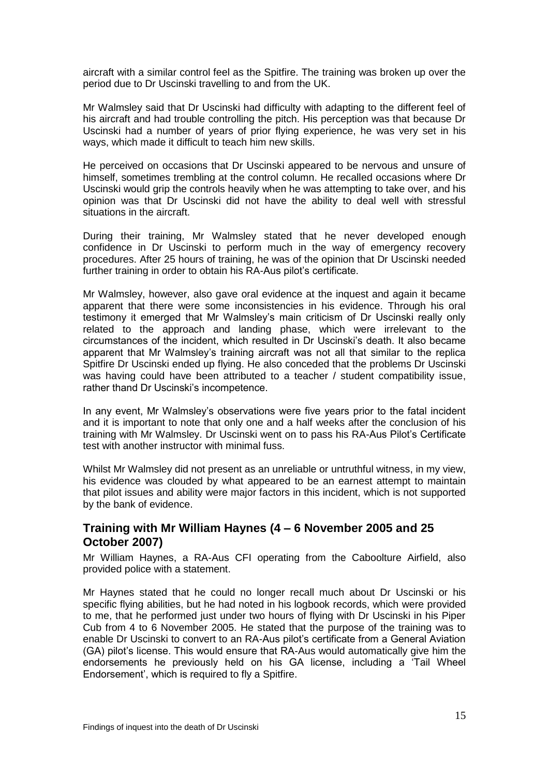aircraft with a similar control feel as the Spitfire. The training was broken up over the period due to Dr Uscinski travelling to and from the UK.

Mr Walmsley said that Dr Uscinski had difficulty with adapting to the different feel of his aircraft and had trouble controlling the pitch. His perception was that because Dr Uscinski had a number of years of prior flying experience, he was very set in his ways, which made it difficult to teach him new skills.

He perceived on occasions that Dr Uscinski appeared to be nervous and unsure of himself, sometimes trembling at the control column. He recalled occasions where Dr Uscinski would grip the controls heavily when he was attempting to take over, and his opinion was that Dr Uscinski did not have the ability to deal well with stressful situations in the aircraft.

During their training, Mr Walmsley stated that he never developed enough confidence in Dr Uscinski to perform much in the way of emergency recovery procedures. After 25 hours of training, he was of the opinion that Dr Uscinski needed further training in order to obtain his RA-Aus pilot's certificate.

Mr Walmsley, however, also gave oral evidence at the inquest and again it became apparent that there were some inconsistencies in his evidence. Through his oral testimony it emerged that Mr Walmsley's main criticism of Dr Uscinski really only related to the approach and landing phase, which were irrelevant to the circumstances of the incident, which resulted in Dr Uscinski's death. It also became apparent that Mr Walmsley's training aircraft was not all that similar to the replica Spitfire Dr Uscinski ended up flying. He also conceded that the problems Dr Uscinski was having could have been attributed to a teacher / student compatibility issue, rather thand Dr Uscinski's incompetence.

In any event, Mr Walmsley's observations were five years prior to the fatal incident and it is important to note that only one and a half weeks after the conclusion of his training with Mr Walmsley. Dr Uscinski went on to pass his RA-Aus Pilot's Certificate test with another instructor with minimal fuss.

Whilst Mr Walmsley did not present as an unreliable or untruthful witness, in my view, his evidence was clouded by what appeared to be an earnest attempt to maintain that pilot issues and ability were major factors in this incident, which is not supported by the bank of evidence.

### **Training with Mr William Haynes (4 – 6 November 2005 and 25 October 2007)**

Mr William Haynes, a RA-Aus CFI operating from the Caboolture Airfield, also provided police with a statement.

Mr Haynes stated that he could no longer recall much about Dr Uscinski or his specific flying abilities, but he had noted in his logbook records, which were provided to me, that he performed just under two hours of flying with Dr Uscinski in his Piper Cub from 4 to 6 November 2005. He stated that the purpose of the training was to enable Dr Uscinski to convert to an RA-Aus pilot's certificate from a General Aviation (GA) pilot's license. This would ensure that RA-Aus would automatically give him the endorsements he previously held on his GA license, including a 'Tail Wheel Endorsement', which is required to fly a Spitfire.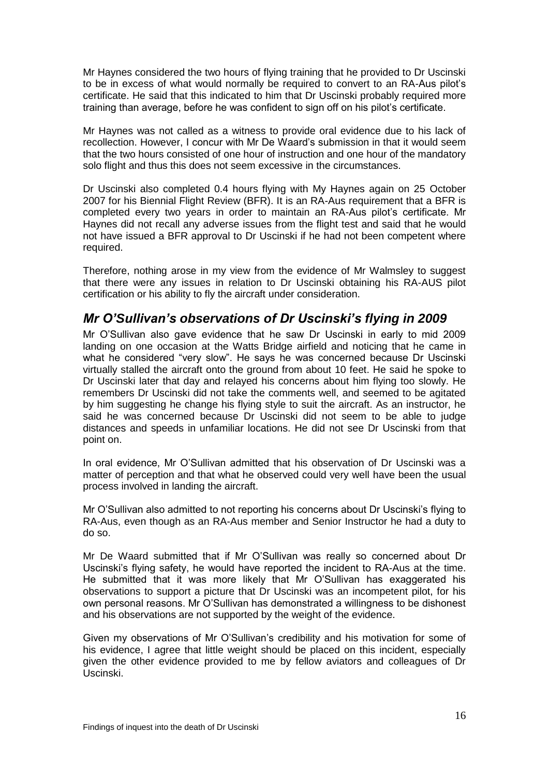Mr Haynes considered the two hours of flying training that he provided to Dr Uscinski to be in excess of what would normally be required to convert to an RA-Aus pilot's certificate. He said that this indicated to him that Dr Uscinski probably required more training than average, before he was confident to sign off on his pilot's certificate.

Mr Haynes was not called as a witness to provide oral evidence due to his lack of recollection. However, I concur with Mr De Waard's submission in that it would seem that the two hours consisted of one hour of instruction and one hour of the mandatory solo flight and thus this does not seem excessive in the circumstances.

Dr Uscinski also completed 0.4 hours flying with My Haynes again on 25 October 2007 for his Biennial Flight Review (BFR). It is an RA-Aus requirement that a BFR is completed every two years in order to maintain an RA-Aus pilot's certificate. Mr Haynes did not recall any adverse issues from the flight test and said that he would not have issued a BFR approval to Dr Uscinski if he had not been competent where required.

Therefore, nothing arose in my view from the evidence of Mr Walmsley to suggest that there were any issues in relation to Dr Uscinski obtaining his RA-AUS pilot certification or his ability to fly the aircraft under consideration.

# *Mr O'Sullivan's observations of Dr Uscinski's flying in 2009*

Mr O'Sullivan also gave evidence that he saw Dr Uscinski in early to mid 2009 landing on one occasion at the Watts Bridge airfield and noticing that he came in what he considered "very slow". He says he was concerned because Dr Uscinski virtually stalled the aircraft onto the ground from about 10 feet. He said he spoke to Dr Uscinski later that day and relayed his concerns about him flying too slowly. He remembers Dr Uscinski did not take the comments well, and seemed to be agitated by him suggesting he change his flying style to suit the aircraft. As an instructor, he said he was concerned because Dr Uscinski did not seem to be able to judge distances and speeds in unfamiliar locations. He did not see Dr Uscinski from that point on.

In oral evidence, Mr O'Sullivan admitted that his observation of Dr Uscinski was a matter of perception and that what he observed could very well have been the usual process involved in landing the aircraft.

Mr O'Sullivan also admitted to not reporting his concerns about Dr Uscinski's flying to RA-Aus, even though as an RA-Aus member and Senior Instructor he had a duty to do so.

Mr De Waard submitted that if Mr O'Sullivan was really so concerned about Dr Uscinski's flying safety, he would have reported the incident to RA-Aus at the time. He submitted that it was more likely that Mr O'Sullivan has exaggerated his observations to support a picture that Dr Uscinski was an incompetent pilot, for his own personal reasons. Mr O'Sullivan has demonstrated a willingness to be dishonest and his observations are not supported by the weight of the evidence.

Given my observations of Mr O'Sullivan's credibility and his motivation for some of his evidence, I agree that little weight should be placed on this incident, especially given the other evidence provided to me by fellow aviators and colleagues of Dr Uscinski.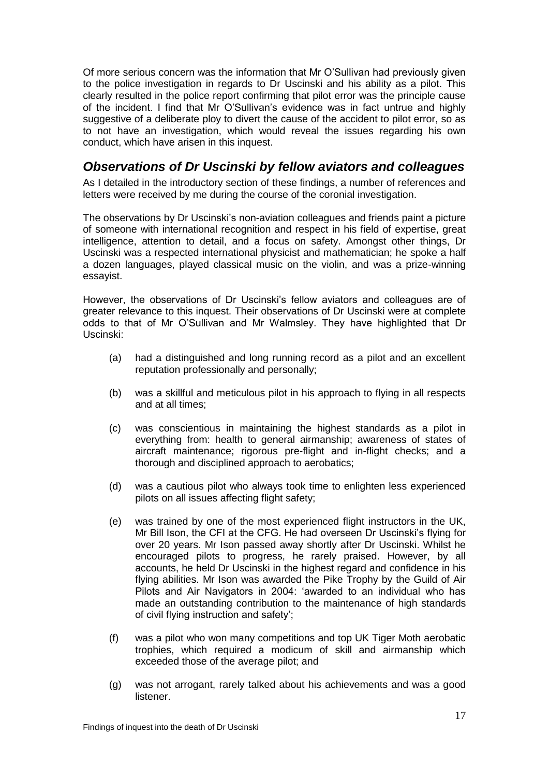Of more serious concern was the information that Mr O'Sullivan had previously given to the police investigation in regards to Dr Uscinski and his ability as a pilot. This clearly resulted in the police report confirming that pilot error was the principle cause of the incident. I find that Mr O'Sullivan's evidence was in fact untrue and highly suggestive of a deliberate ploy to divert the cause of the accident to pilot error, so as to not have an investigation, which would reveal the issues regarding his own conduct, which have arisen in this inquest.

# *Observations of Dr Uscinski by fellow aviators and colleagues*

As I detailed in the introductory section of these findings, a number of references and letters were received by me during the course of the coronial investigation.

The observations by Dr Uscinski's non-aviation colleagues and friends paint a picture of someone with international recognition and respect in his field of expertise, great intelligence, attention to detail, and a focus on safety. Amongst other things, Dr Uscinski was a respected international physicist and mathematician; he spoke a half a dozen languages, played classical music on the violin, and was a prize-winning essayist.

However, the observations of Dr Uscinski's fellow aviators and colleagues are of greater relevance to this inquest. Their observations of Dr Uscinski were at complete odds to that of Mr O'Sullivan and Mr Walmsley. They have highlighted that Dr Uscinski:

- (a) had a distinguished and long running record as a pilot and an excellent reputation professionally and personally;
- (b) was a skillful and meticulous pilot in his approach to flying in all respects and at all times;
- (c) was conscientious in maintaining the highest standards as a pilot in everything from: health to general airmanship; awareness of states of aircraft maintenance; rigorous pre-flight and in-flight checks; and a thorough and disciplined approach to aerobatics;
- (d) was a cautious pilot who always took time to enlighten less experienced pilots on all issues affecting flight safety;
- (e) was trained by one of the most experienced flight instructors in the UK, Mr Bill Ison, the CFI at the CFG. He had overseen Dr Uscinski's flying for over 20 years. Mr Ison passed away shortly after Dr Uscinski. Whilst he encouraged pilots to progress, he rarely praised. However, by all accounts, he held Dr Uscinski in the highest regard and confidence in his flying abilities. Mr Ison was awarded the Pike Trophy by the Guild of Air Pilots and Air Navigators in 2004: 'awarded to an individual who has made an outstanding contribution to the maintenance of high standards of civil flying instruction and safety';
- (f) was a pilot who won many competitions and top UK Tiger Moth aerobatic trophies, which required a modicum of skill and airmanship which exceeded those of the average pilot; and
- (g) was not arrogant, rarely talked about his achievements and was a good listener.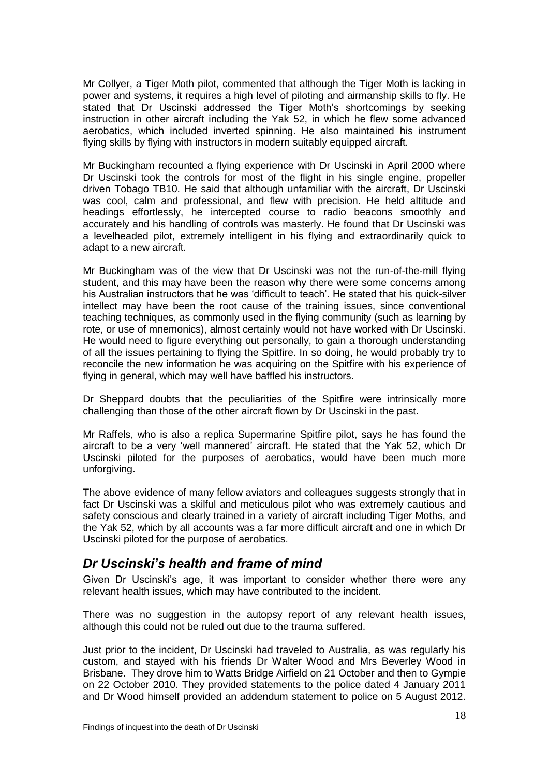Mr Collyer, a Tiger Moth pilot, commented that although the Tiger Moth is lacking in power and systems, it requires a high level of piloting and airmanship skills to fly. He stated that Dr Uscinski addressed the Tiger Moth's shortcomings by seeking instruction in other aircraft including the Yak 52, in which he flew some advanced aerobatics, which included inverted spinning. He also maintained his instrument flying skills by flying with instructors in modern suitably equipped aircraft.

Mr Buckingham recounted a flying experience with Dr Uscinski in April 2000 where Dr Uscinski took the controls for most of the flight in his single engine, propeller driven Tobago TB10. He said that although unfamiliar with the aircraft, Dr Uscinski was cool, calm and professional, and flew with precision. He held altitude and headings effortlessly, he intercepted course to radio beacons smoothly and accurately and his handling of controls was masterly. He found that Dr Uscinski was a levelheaded pilot, extremely intelligent in his flying and extraordinarily quick to adapt to a new aircraft.

Mr Buckingham was of the view that Dr Uscinski was not the run-of-the-mill flying student, and this may have been the reason why there were some concerns among his Australian instructors that he was 'difficult to teach'. He stated that his quick-silver intellect may have been the root cause of the training issues, since conventional teaching techniques, as commonly used in the flying community (such as learning by rote, or use of mnemonics), almost certainly would not have worked with Dr Uscinski. He would need to figure everything out personally, to gain a thorough understanding of all the issues pertaining to flying the Spitfire. In so doing, he would probably try to reconcile the new information he was acquiring on the Spitfire with his experience of flying in general, which may well have baffled his instructors.

Dr Sheppard doubts that the peculiarities of the Spitfire were intrinsically more challenging than those of the other aircraft flown by Dr Uscinski in the past.

Mr Raffels, who is also a replica Supermarine Spitfire pilot, says he has found the aircraft to be a very 'well mannered' aircraft. He stated that the Yak 52, which Dr Uscinski piloted for the purposes of aerobatics, would have been much more unforgiving.

The above evidence of many fellow aviators and colleagues suggests strongly that in fact Dr Uscinski was a skilful and meticulous pilot who was extremely cautious and safety conscious and clearly trained in a variety of aircraft including Tiger Moths, and the Yak 52, which by all accounts was a far more difficult aircraft and one in which Dr Uscinski piloted for the purpose of aerobatics.

# *Dr Uscinski's health and frame of mind*

Given Dr Uscinski's age, it was important to consider whether there were any relevant health issues, which may have contributed to the incident.

There was no suggestion in the autopsy report of any relevant health issues, although this could not be ruled out due to the trauma suffered.

Just prior to the incident, Dr Uscinski had traveled to Australia, as was regularly his custom, and stayed with his friends Dr Walter Wood and Mrs Beverley Wood in Brisbane. They drove him to Watts Bridge Airfield on 21 October and then to Gympie on 22 October 2010. They provided statements to the police dated 4 January 2011 and Dr Wood himself provided an addendum statement to police on 5 August 2012.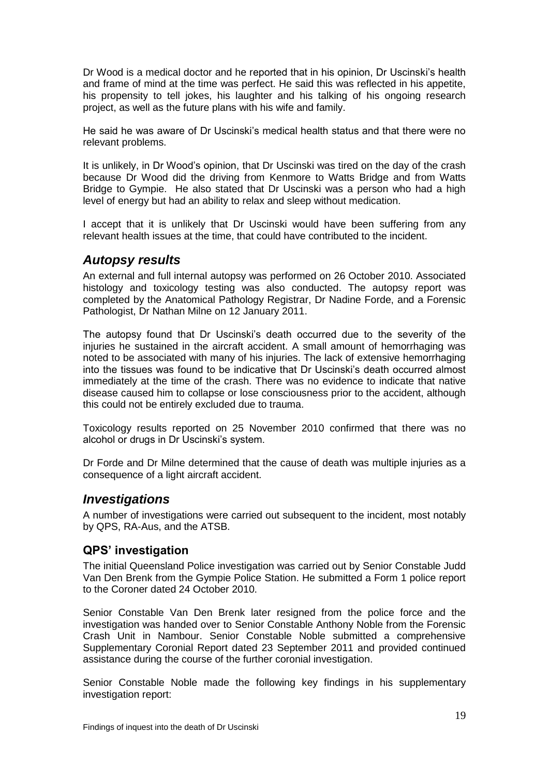Dr Wood is a medical doctor and he reported that in his opinion, Dr Uscinski's health and frame of mind at the time was perfect. He said this was reflected in his appetite, his propensity to tell jokes, his laughter and his talking of his ongoing research project, as well as the future plans with his wife and family.

He said he was aware of Dr Uscinski's medical health status and that there were no relevant problems.

It is unlikely, in Dr Wood's opinion, that Dr Uscinski was tired on the day of the crash because Dr Wood did the driving from Kenmore to Watts Bridge and from Watts Bridge to Gympie. He also stated that Dr Uscinski was a person who had a high level of energy but had an ability to relax and sleep without medication.

I accept that it is unlikely that Dr Uscinski would have been suffering from any relevant health issues at the time, that could have contributed to the incident.

### *Autopsy results*

An external and full internal autopsy was performed on 26 October 2010. Associated histology and toxicology testing was also conducted. The autopsy report was completed by the Anatomical Pathology Registrar, Dr Nadine Forde, and a Forensic Pathologist, Dr Nathan Milne on 12 January 2011.

The autopsy found that Dr Uscinski's death occurred due to the severity of the injuries he sustained in the aircraft accident. A small amount of hemorrhaging was noted to be associated with many of his injuries. The lack of extensive hemorrhaging into the tissues was found to be indicative that Dr Uscinski's death occurred almost immediately at the time of the crash. There was no evidence to indicate that native disease caused him to collapse or lose consciousness prior to the accident, although this could not be entirely excluded due to trauma.

Toxicology results reported on 25 November 2010 confirmed that there was no alcohol or drugs in Dr Uscinski's system.

Dr Forde and Dr Milne determined that the cause of death was multiple injuries as a consequence of a light aircraft accident.

#### *Investigations*

A number of investigations were carried out subsequent to the incident, most notably by QPS, RA-Aus, and the ATSB.

#### **QPS' investigation**

The initial Queensland Police investigation was carried out by Senior Constable Judd Van Den Brenk from the Gympie Police Station. He submitted a Form 1 police report to the Coroner dated 24 October 2010.

Senior Constable Van Den Brenk later resigned from the police force and the investigation was handed over to Senior Constable Anthony Noble from the Forensic Crash Unit in Nambour. Senior Constable Noble submitted a comprehensive Supplementary Coronial Report dated 23 September 2011 and provided continued assistance during the course of the further coronial investigation.

Senior Constable Noble made the following key findings in his supplementary investigation report: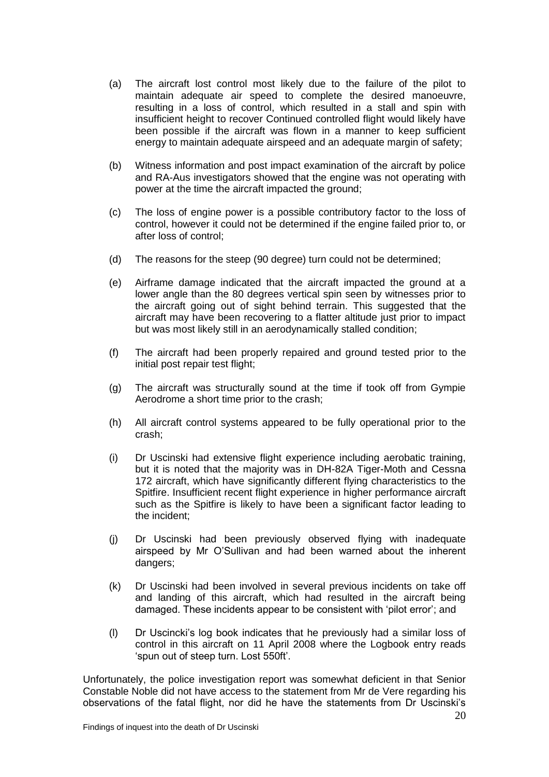- (a) The aircraft lost control most likely due to the failure of the pilot to maintain adequate air speed to complete the desired manoeuvre, resulting in a loss of control, which resulted in a stall and spin with insufficient height to recover Continued controlled flight would likely have been possible if the aircraft was flown in a manner to keep sufficient energy to maintain adequate airspeed and an adequate margin of safety;
- (b) Witness information and post impact examination of the aircraft by police and RA-Aus investigators showed that the engine was not operating with power at the time the aircraft impacted the ground;
- (c) The loss of engine power is a possible contributory factor to the loss of control, however it could not be determined if the engine failed prior to, or after loss of control;
- (d) The reasons for the steep (90 degree) turn could not be determined;
- (e) Airframe damage indicated that the aircraft impacted the ground at a lower angle than the 80 degrees vertical spin seen by witnesses prior to the aircraft going out of sight behind terrain. This suggested that the aircraft may have been recovering to a flatter altitude just prior to impact but was most likely still in an aerodynamically stalled condition;
- (f) The aircraft had been properly repaired and ground tested prior to the initial post repair test flight;
- (g) The aircraft was structurally sound at the time if took off from Gympie Aerodrome a short time prior to the crash;
- (h) All aircraft control systems appeared to be fully operational prior to the crash;
- (i) Dr Uscinski had extensive flight experience including aerobatic training, but it is noted that the majority was in DH-82A Tiger-Moth and Cessna 172 aircraft, which have significantly different flying characteristics to the Spitfire. Insufficient recent flight experience in higher performance aircraft such as the Spitfire is likely to have been a significant factor leading to the incident;
- (j) Dr Uscinski had been previously observed flying with inadequate airspeed by Mr O'Sullivan and had been warned about the inherent dangers;
- (k) Dr Uscinski had been involved in several previous incidents on take off and landing of this aircraft, which had resulted in the aircraft being damaged. These incidents appear to be consistent with 'pilot error'; and
- (l) Dr Uscincki's log book indicates that he previously had a similar loss of control in this aircraft on 11 April 2008 where the Logbook entry reads 'spun out of steep turn. Lost 550ft'.

Unfortunately, the police investigation report was somewhat deficient in that Senior Constable Noble did not have access to the statement from Mr de Vere regarding his observations of the fatal flight, nor did he have the statements from Dr Uscinski's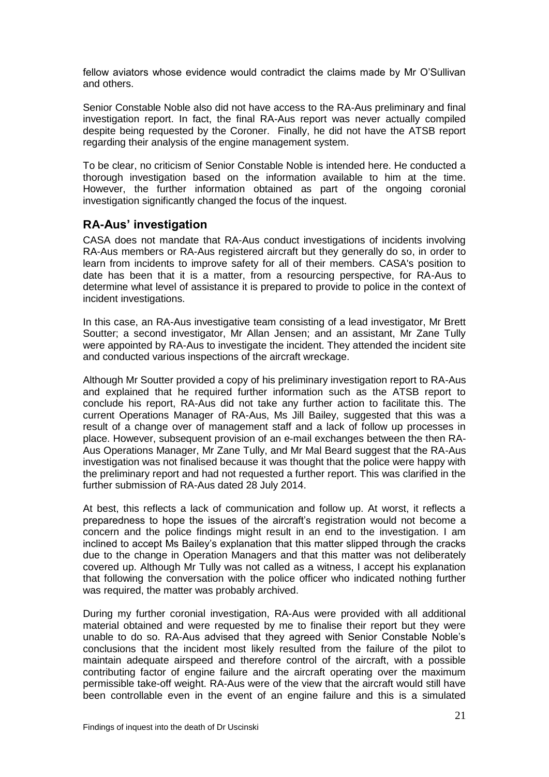fellow aviators whose evidence would contradict the claims made by Mr O'Sullivan and others.

Senior Constable Noble also did not have access to the RA-Aus preliminary and final investigation report. In fact, the final RA-Aus report was never actually compiled despite being requested by the Coroner. Finally, he did not have the ATSB report regarding their analysis of the engine management system.

To be clear, no criticism of Senior Constable Noble is intended here. He conducted a thorough investigation based on the information available to him at the time. However, the further information obtained as part of the ongoing coronial investigation significantly changed the focus of the inquest.

### **RA-Aus' investigation**

CASA does not mandate that RA-Aus conduct investigations of incidents involving RA-Aus members or RA-Aus registered aircraft but they generally do so, in order to learn from incidents to improve safety for all of their members. CASA's position to date has been that it is a matter, from a resourcing perspective, for RA-Aus to determine what level of assistance it is prepared to provide to police in the context of incident investigations.

In this case, an RA-Aus investigative team consisting of a lead investigator, Mr Brett Soutter; a second investigator, Mr Allan Jensen; and an assistant, Mr Zane Tully were appointed by RA-Aus to investigate the incident. They attended the incident site and conducted various inspections of the aircraft wreckage.

Although Mr Soutter provided a copy of his preliminary investigation report to RA-Aus and explained that he required further information such as the ATSB report to conclude his report, RA-Aus did not take any further action to facilitate this. The current Operations Manager of RA-Aus, Ms Jill Bailey, suggested that this was a result of a change over of management staff and a lack of follow up processes in place. However, subsequent provision of an e-mail exchanges between the then RA-Aus Operations Manager, Mr Zane Tully, and Mr Mal Beard suggest that the RA-Aus investigation was not finalised because it was thought that the police were happy with the preliminary report and had not requested a further report. This was clarified in the further submission of RA-Aus dated 28 July 2014.

At best, this reflects a lack of communication and follow up. At worst, it reflects a preparedness to hope the issues of the aircraft's registration would not become a concern and the police findings might result in an end to the investigation. I am inclined to accept Ms Bailey's explanation that this matter slipped through the cracks due to the change in Operation Managers and that this matter was not deliberately covered up. Although Mr Tully was not called as a witness, I accept his explanation that following the conversation with the police officer who indicated nothing further was required, the matter was probably archived.

During my further coronial investigation, RA-Aus were provided with all additional material obtained and were requested by me to finalise their report but they were unable to do so. RA-Aus advised that they agreed with Senior Constable Noble's conclusions that the incident most likely resulted from the failure of the pilot to maintain adequate airspeed and therefore control of the aircraft, with a possible contributing factor of engine failure and the aircraft operating over the maximum permissible take-off weight. RA-Aus were of the view that the aircraft would still have been controllable even in the event of an engine failure and this is a simulated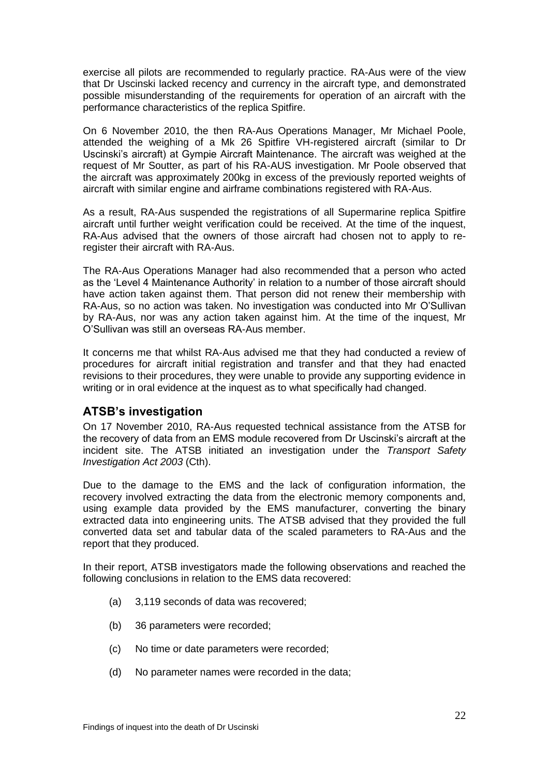exercise all pilots are recommended to regularly practice. RA-Aus were of the view that Dr Uscinski lacked recency and currency in the aircraft type, and demonstrated possible misunderstanding of the requirements for operation of an aircraft with the performance characteristics of the replica Spitfire.

On 6 November 2010, the then RA-Aus Operations Manager, Mr Michael Poole, attended the weighing of a Mk 26 Spitfire VH-registered aircraft (similar to Dr Uscinski's aircraft) at Gympie Aircraft Maintenance. The aircraft was weighed at the request of Mr Soutter, as part of his RA-AUS investigation. Mr Poole observed that the aircraft was approximately 200kg in excess of the previously reported weights of aircraft with similar engine and airframe combinations registered with RA-Aus.

As a result, RA-Aus suspended the registrations of all Supermarine replica Spitfire aircraft until further weight verification could be received. At the time of the inquest, RA-Aus advised that the owners of those aircraft had chosen not to apply to reregister their aircraft with RA-Aus.

The RA-Aus Operations Manager had also recommended that a person who acted as the 'Level 4 Maintenance Authority' in relation to a number of those aircraft should have action taken against them. That person did not renew their membership with RA-Aus, so no action was taken. No investigation was conducted into Mr O'Sullivan by RA-Aus, nor was any action taken against him. At the time of the inquest, Mr O'Sullivan was still an overseas RA-Aus member.

It concerns me that whilst RA-Aus advised me that they had conducted a review of procedures for aircraft initial registration and transfer and that they had enacted revisions to their procedures, they were unable to provide any supporting evidence in writing or in oral evidence at the inquest as to what specifically had changed.

## **ATSB's investigation**

On 17 November 2010, RA-Aus requested technical assistance from the ATSB for the recovery of data from an EMS module recovered from Dr Uscinski's aircraft at the incident site. The ATSB initiated an investigation under the *Transport Safety Investigation Act 2003* (Cth).

Due to the damage to the EMS and the lack of configuration information, the recovery involved extracting the data from the electronic memory components and, using example data provided by the EMS manufacturer, converting the binary extracted data into engineering units. The ATSB advised that they provided the full converted data set and tabular data of the scaled parameters to RA-Aus and the report that they produced.

In their report, ATSB investigators made the following observations and reached the following conclusions in relation to the EMS data recovered:

- (a) 3,119 seconds of data was recovered;
- (b) 36 parameters were recorded;
- (c) No time or date parameters were recorded;
- (d) No parameter names were recorded in the data;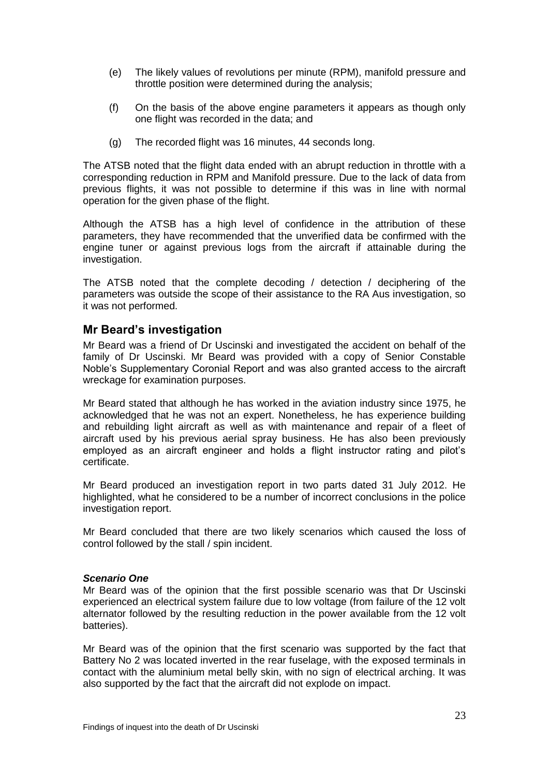- (e) The likely values of revolutions per minute (RPM), manifold pressure and throttle position were determined during the analysis;
- (f) On the basis of the above engine parameters it appears as though only one flight was recorded in the data; and
- (g) The recorded flight was 16 minutes, 44 seconds long.

The ATSB noted that the flight data ended with an abrupt reduction in throttle with a corresponding reduction in RPM and Manifold pressure. Due to the lack of data from previous flights, it was not possible to determine if this was in line with normal operation for the given phase of the flight.

Although the ATSB has a high level of confidence in the attribution of these parameters, they have recommended that the unverified data be confirmed with the engine tuner or against previous logs from the aircraft if attainable during the investigation.

The ATSB noted that the complete decoding / detection / deciphering of the parameters was outside the scope of their assistance to the RA Aus investigation, so it was not performed.

#### **Mr Beard's investigation**

Mr Beard was a friend of Dr Uscinski and investigated the accident on behalf of the family of Dr Uscinski. Mr Beard was provided with a copy of Senior Constable Noble's Supplementary Coronial Report and was also granted access to the aircraft wreckage for examination purposes.

Mr Beard stated that although he has worked in the aviation industry since 1975, he acknowledged that he was not an expert. Nonetheless, he has experience building and rebuilding light aircraft as well as with maintenance and repair of a fleet of aircraft used by his previous aerial spray business. He has also been previously employed as an aircraft engineer and holds a flight instructor rating and pilot's certificate.

Mr Beard produced an investigation report in two parts dated 31 July 2012. He highlighted, what he considered to be a number of incorrect conclusions in the police investigation report.

Mr Beard concluded that there are two likely scenarios which caused the loss of control followed by the stall / spin incident.

#### *Scenario One*

Mr Beard was of the opinion that the first possible scenario was that Dr Uscinski experienced an electrical system failure due to low voltage (from failure of the 12 volt alternator followed by the resulting reduction in the power available from the 12 volt batteries).

Mr Beard was of the opinion that the first scenario was supported by the fact that Battery No 2 was located inverted in the rear fuselage, with the exposed terminals in contact with the aluminium metal belly skin, with no sign of electrical arching. It was also supported by the fact that the aircraft did not explode on impact.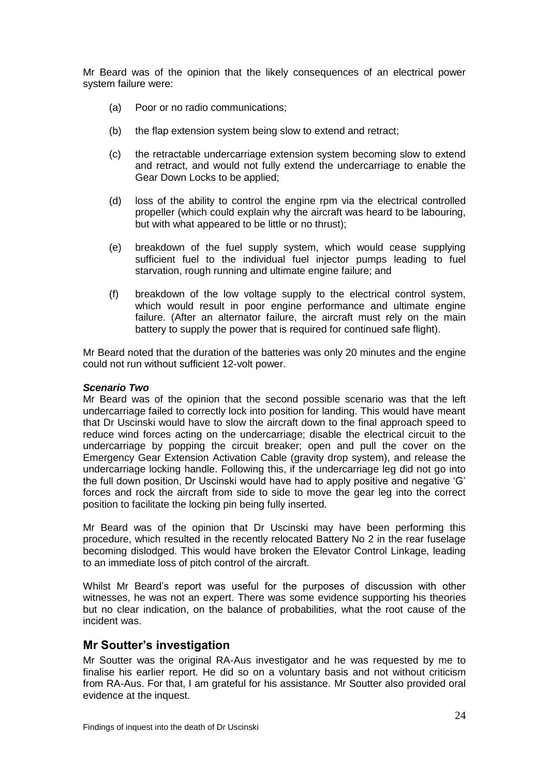Mr Beard was of the opinion that the likely consequences of an electrical power system failure were:

- (a) Poor or no radio communications;
- (b) the flap extension system being slow to extend and retract;
- (c) the retractable undercarriage extension system becoming slow to extend and retract, and would not fully extend the undercarriage to enable the Gear Down Locks to be applied;
- (d) loss of the ability to control the engine rpm via the electrical controlled propeller (which could explain why the aircraft was heard to be labouring, but with what appeared to be little or no thrust);
- (e) breakdown of the fuel supply system, which would cease supplying sufficient fuel to the individual fuel injector pumps leading to fuel starvation, rough running and ultimate engine failure; and
- (f) breakdown of the low voltage supply to the electrical control system, which would result in poor engine performance and ultimate engine failure. (After an alternator failure, the aircraft must rely on the main battery to supply the power that is required for continued safe flight).

Mr Beard noted that the duration of the batteries was only 20 minutes and the engine could not run without sufficient 12-volt power.

#### *Scenario Two*

Mr Beard was of the opinion that the second possible scenario was that the left undercarriage failed to correctly lock into position for landing. This would have meant that Dr Uscinski would have to slow the aircraft down to the final approach speed to reduce wind forces acting on the undercarriage; disable the electrical circuit to the undercarriage by popping the circuit breaker; open and pull the cover on the Emergency Gear Extension Activation Cable (gravity drop system), and release the undercarriage locking handle. Following this, if the undercarriage leg did not go into the full down position, Dr Uscinski would have had to apply positive and negative 'G' forces and rock the aircraft from side to side to move the gear leg into the correct position to facilitate the locking pin being fully inserted.

Mr Beard was of the opinion that Dr Uscinski may have been performing this procedure, which resulted in the recently relocated Battery No 2 in the rear fuselage becoming dislodged. This would have broken the Elevator Control Linkage, leading to an immediate loss of pitch control of the aircraft.

Whilst Mr Beard's report was useful for the purposes of discussion with other witnesses, he was not an expert. There was some evidence supporting his theories but no clear indication, on the balance of probabilities, what the root cause of the incident was.

#### **Mr Soutter's investigation**

Mr Soutter was the original RA-Aus investigator and he was requested by me to finalise his earlier report. He did so on a voluntary basis and not without criticism from RA-Aus. For that, I am grateful for his assistance. Mr Soutter also provided oral evidence at the inquest.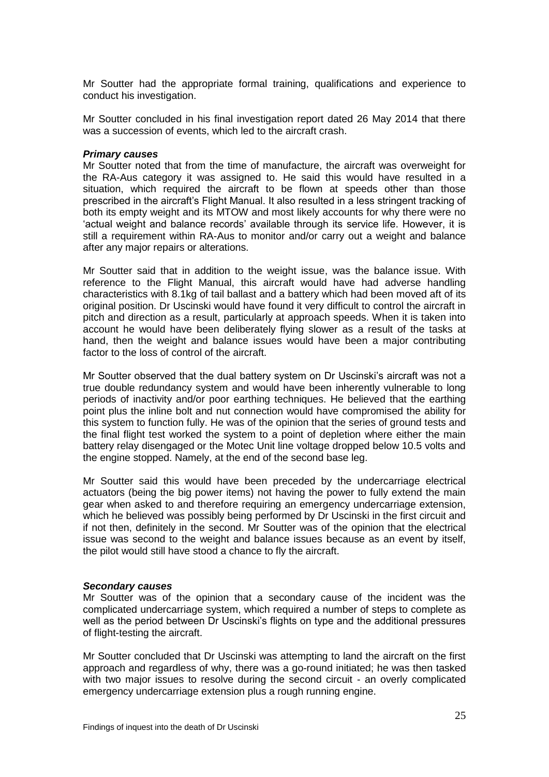Mr Soutter had the appropriate formal training, qualifications and experience to conduct his investigation.

Mr Soutter concluded in his final investigation report dated 26 May 2014 that there was a succession of events, which led to the aircraft crash.

#### *Primary causes*

Mr Soutter noted that from the time of manufacture, the aircraft was overweight for the RA-Aus category it was assigned to. He said this would have resulted in a situation, which required the aircraft to be flown at speeds other than those prescribed in the aircraft's Flight Manual. It also resulted in a less stringent tracking of both its empty weight and its MTOW and most likely accounts for why there were no 'actual weight and balance records' available through its service life. However, it is still a requirement within RA-Aus to monitor and/or carry out a weight and balance after any major repairs or alterations.

Mr Soutter said that in addition to the weight issue, was the balance issue. With reference to the Flight Manual, this aircraft would have had adverse handling characteristics with 8.1kg of tail ballast and a battery which had been moved aft of its original position. Dr Uscinski would have found it very difficult to control the aircraft in pitch and direction as a result, particularly at approach speeds. When it is taken into account he would have been deliberately flying slower as a result of the tasks at hand, then the weight and balance issues would have been a major contributing factor to the loss of control of the aircraft.

Mr Soutter observed that the dual battery system on Dr Uscinski's aircraft was not a true double redundancy system and would have been inherently vulnerable to long periods of inactivity and/or poor earthing techniques. He believed that the earthing point plus the inline bolt and nut connection would have compromised the ability for this system to function fully. He was of the opinion that the series of ground tests and the final flight test worked the system to a point of depletion where either the main battery relay disengaged or the Motec Unit line voltage dropped below 10.5 volts and the engine stopped. Namely, at the end of the second base leg.

Mr Soutter said this would have been preceded by the undercarriage electrical actuators (being the big power items) not having the power to fully extend the main gear when asked to and therefore requiring an emergency undercarriage extension, which he believed was possibly being performed by Dr Uscinski in the first circuit and if not then, definitely in the second. Mr Soutter was of the opinion that the electrical issue was second to the weight and balance issues because as an event by itself, the pilot would still have stood a chance to fly the aircraft.

#### *Secondary causes*

Mr Soutter was of the opinion that a secondary cause of the incident was the complicated undercarriage system, which required a number of steps to complete as well as the period between Dr Uscinski's flights on type and the additional pressures of flight-testing the aircraft.

Mr Soutter concluded that Dr Uscinski was attempting to land the aircraft on the first approach and regardless of why, there was a go-round initiated; he was then tasked with two major issues to resolve during the second circuit - an overly complicated emergency undercarriage extension plus a rough running engine.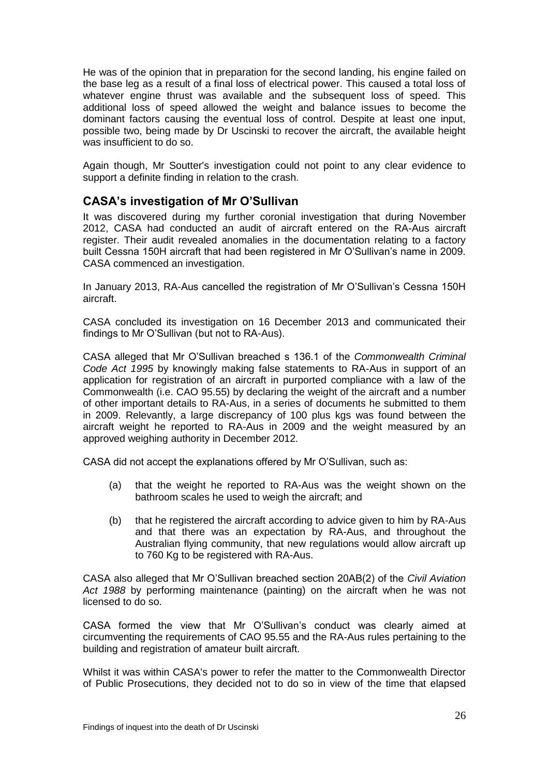He was of the opinion that in preparation for the second landing, his engine failed on the base leg as a result of a final loss of electrical power. This caused a total loss of whatever engine thrust was available and the subsequent loss of speed. This additional loss of speed allowed the weight and balance issues to become the dominant factors causing the eventual loss of control. Despite at least one input, possible two, being made by Dr Uscinski to recover the aircraft, the available height was insufficient to do so.

Again though, Mr Soutter's investigation could not point to any clear evidence to support a definite finding in relation to the crash.

### **CASA's investigation of Mr O'Sullivan**

It was discovered during my further coronial investigation that during November 2012, CASA had conducted an audit of aircraft entered on the RA-Aus aircraft register. Their audit revealed anomalies in the documentation relating to a factory built Cessna 150H aircraft that had been registered in Mr O'Sullivan's name in 2009. CASA commenced an investigation.

In January 2013, RA-Aus cancelled the registration of Mr O'Sullivan's Cessna 150H aircraft.

CASA concluded its investigation on 16 December 2013 and communicated their findings to Mr O'Sullivan (but not to RA-Aus).

CASA alleged that Mr O'Sullivan breached s 136.1 of the *Commonwealth Criminal Code Act 1995* by knowingly making false statements to RA-Aus in support of an application for registration of an aircraft in purported compliance with a law of the Commonwealth (i.e. CAO 95.55) by declaring the weight of the aircraft and a number of other important details to RA-Aus, in a series of documents he submitted to them in 2009. Relevantly, a large discrepancy of 100 plus kgs was found between the aircraft weight he reported to RA-Aus in 2009 and the weight measured by an approved weighing authority in December 2012.

CASA did not accept the explanations offered by Mr O'Sullivan, such as:

- (a) that the weight he reported to RA-Aus was the weight shown on the bathroom scales he used to weigh the aircraft; and
- (b) that he registered the aircraft according to advice given to him by RA-Aus and that there was an expectation by RA-Aus, and throughout the Australian flying community, that new regulations would allow aircraft up to 760 Kg to be registered with RA-Aus.

CASA also alleged that Mr O'Sullivan breached section 20AB(2) of the *Civil Aviation Act 1988* by performing maintenance (painting) on the aircraft when he was not licensed to do so.

CASA formed the view that Mr O'Sullivan's conduct was clearly aimed at circumventing the requirements of CAO 95.55 and the RA-Aus rules pertaining to the building and registration of amateur built aircraft.

Whilst it was within CASA's power to refer the matter to the Commonwealth Director of Public Prosecutions, they decided not to do so in view of the time that elapsed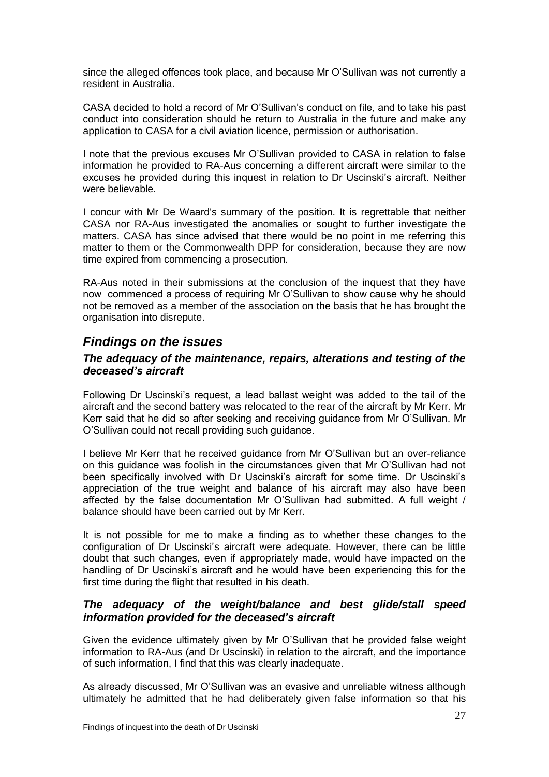since the alleged offences took place, and because Mr O'Sullivan was not currently a resident in Australia.

CASA decided to hold a record of Mr O'Sullivan's conduct on file, and to take his past conduct into consideration should he return to Australia in the future and make any application to CASA for a civil aviation licence, permission or authorisation.

I note that the previous excuses Mr O'Sullivan provided to CASA in relation to false information he provided to RA-Aus concerning a different aircraft were similar to the excuses he provided during this inquest in relation to Dr Uscinski's aircraft. Neither were believable.

I concur with Mr De Waard's summary of the position. It is regrettable that neither CASA nor RA-Aus investigated the anomalies or sought to further investigate the matters. CASA has since advised that there would be no point in me referring this matter to them or the Commonwealth DPP for consideration, because they are now time expired from commencing a prosecution.

RA-Aus noted in their submissions at the conclusion of the inquest that they have now commenced a process of requiring Mr O'Sullivan to show cause why he should not be removed as a member of the association on the basis that he has brought the organisation into disrepute.

# *Findings on the issues*

#### *The adequacy of the maintenance, repairs, alterations and testing of the deceased's aircraft*

Following Dr Uscinski's request, a lead ballast weight was added to the tail of the aircraft and the second battery was relocated to the rear of the aircraft by Mr Kerr. Mr Kerr said that he did so after seeking and receiving guidance from Mr O'Sullivan. Mr O'Sullivan could not recall providing such guidance.

I believe Mr Kerr that he received guidance from Mr O'Sullivan but an over-reliance on this guidance was foolish in the circumstances given that Mr O'Sullivan had not been specifically involved with Dr Uscinski's aircraft for some time. Dr Uscinski's appreciation of the true weight and balance of his aircraft may also have been affected by the false documentation Mr O'Sullivan had submitted. A full weight / balance should have been carried out by Mr Kerr.

It is not possible for me to make a finding as to whether these changes to the configuration of Dr Uscinski's aircraft were adequate. However, there can be little doubt that such changes, even if appropriately made, would have impacted on the handling of Dr Uscinski's aircraft and he would have been experiencing this for the first time during the flight that resulted in his death.

#### *The adequacy of the weight/balance and best glide/stall speed information provided for the deceased's aircraft*

Given the evidence ultimately given by Mr O'Sullivan that he provided false weight information to RA-Aus (and Dr Uscinski) in relation to the aircraft, and the importance of such information, I find that this was clearly inadequate.

As already discussed, Mr O'Sullivan was an evasive and unreliable witness although ultimately he admitted that he had deliberately given false information so that his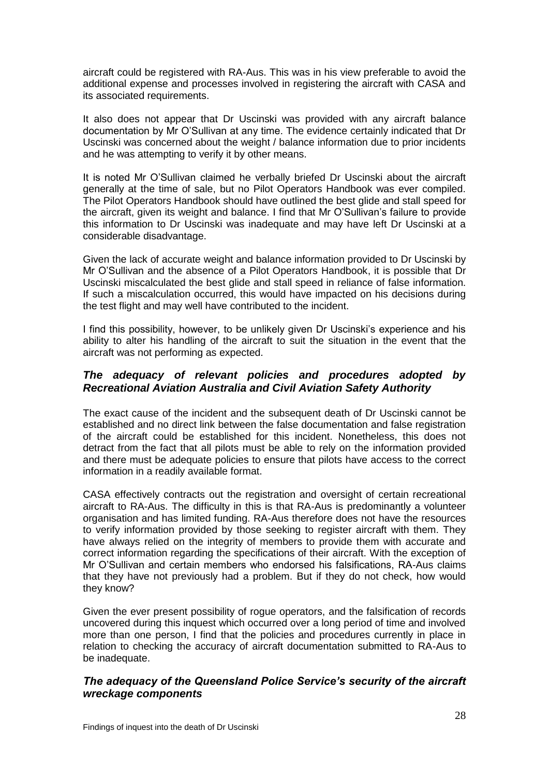aircraft could be registered with RA-Aus. This was in his view preferable to avoid the additional expense and processes involved in registering the aircraft with CASA and its associated requirements.

It also does not appear that Dr Uscinski was provided with any aircraft balance documentation by Mr O'Sullivan at any time. The evidence certainly indicated that Dr Uscinski was concerned about the weight / balance information due to prior incidents and he was attempting to verify it by other means.

It is noted Mr O'Sullivan claimed he verbally briefed Dr Uscinski about the aircraft generally at the time of sale, but no Pilot Operators Handbook was ever compiled. The Pilot Operators Handbook should have outlined the best glide and stall speed for the aircraft, given its weight and balance. I find that Mr O'Sullivan's failure to provide this information to Dr Uscinski was inadequate and may have left Dr Uscinski at a considerable disadvantage.

Given the lack of accurate weight and balance information provided to Dr Uscinski by Mr O'Sullivan and the absence of a Pilot Operators Handbook, it is possible that Dr Uscinski miscalculated the best glide and stall speed in reliance of false information. If such a miscalculation occurred, this would have impacted on his decisions during the test flight and may well have contributed to the incident.

I find this possibility, however, to be unlikely given Dr Uscinski's experience and his ability to alter his handling of the aircraft to suit the situation in the event that the aircraft was not performing as expected.

#### *The adequacy of relevant policies and procedures adopted by Recreational Aviation Australia and Civil Aviation Safety Authority*

The exact cause of the incident and the subsequent death of Dr Uscinski cannot be established and no direct link between the false documentation and false registration of the aircraft could be established for this incident. Nonetheless, this does not detract from the fact that all pilots must be able to rely on the information provided and there must be adequate policies to ensure that pilots have access to the correct information in a readily available format.

CASA effectively contracts out the registration and oversight of certain recreational aircraft to RA-Aus. The difficulty in this is that RA-Aus is predominantly a volunteer organisation and has limited funding. RA-Aus therefore does not have the resources to verify information provided by those seeking to register aircraft with them. They have always relied on the integrity of members to provide them with accurate and correct information regarding the specifications of their aircraft. With the exception of Mr O'Sullivan and certain members who endorsed his falsifications, RA-Aus claims that they have not previously had a problem. But if they do not check, how would they know?

Given the ever present possibility of rogue operators, and the falsification of records uncovered during this inquest which occurred over a long period of time and involved more than one person, I find that the policies and procedures currently in place in relation to checking the accuracy of aircraft documentation submitted to RA-Aus to be inadequate.

#### *The adequacy of the Queensland Police Service's security of the aircraft wreckage components*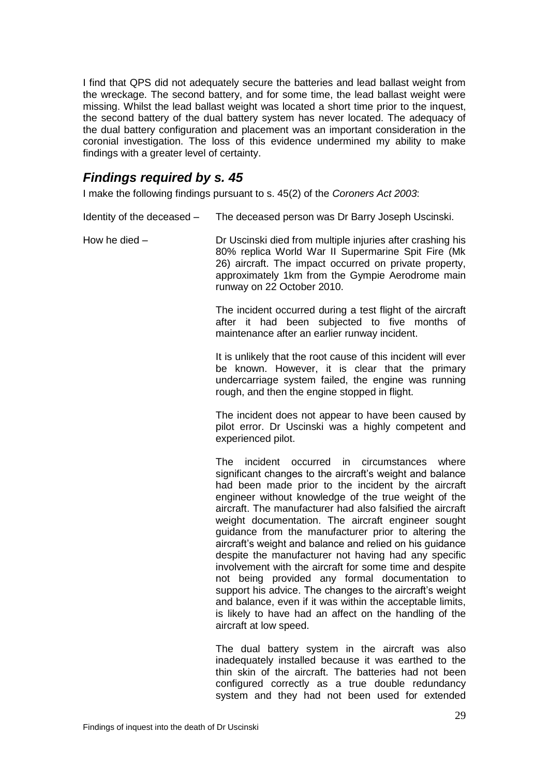I find that QPS did not adequately secure the batteries and lead ballast weight from the wreckage. The second battery, and for some time, the lead ballast weight were missing. Whilst the lead ballast weight was located a short time prior to the inquest, the second battery of the dual battery system has never located. The adequacy of the dual battery configuration and placement was an important consideration in the coronial investigation. The loss of this evidence undermined my ability to make findings with a greater level of certainty.

# *Findings required by s. 45*

I make the following findings pursuant to s. 45(2) of the *Coroners Act 2003*:

- Identity of the deceased The deceased person was Dr Barry Joseph Uscinski.
- How he died Dr Uscinski died from multiple injuries after crashing his 80% replica World War II Supermarine Spit Fire (Mk 26) aircraft. The impact occurred on private property, approximately 1km from the Gympie Aerodrome main runway on 22 October 2010.

The incident occurred during a test flight of the aircraft after it had been subjected to five months of maintenance after an earlier runway incident.

It is unlikely that the root cause of this incident will ever be known. However, it is clear that the primary undercarriage system failed, the engine was running rough, and then the engine stopped in flight.

The incident does not appear to have been caused by pilot error. Dr Uscinski was a highly competent and experienced pilot.

The incident occurred in circumstances where significant changes to the aircraft's weight and balance had been made prior to the incident by the aircraft engineer without knowledge of the true weight of the aircraft. The manufacturer had also falsified the aircraft weight documentation. The aircraft engineer sought guidance from the manufacturer prior to altering the aircraft's weight and balance and relied on his guidance despite the manufacturer not having had any specific involvement with the aircraft for some time and despite not being provided any formal documentation to support his advice. The changes to the aircraft's weight and balance, even if it was within the acceptable limits, is likely to have had an affect on the handling of the aircraft at low speed.

The dual battery system in the aircraft was also inadequately installed because it was earthed to the thin skin of the aircraft. The batteries had not been configured correctly as a true double redundancy system and they had not been used for extended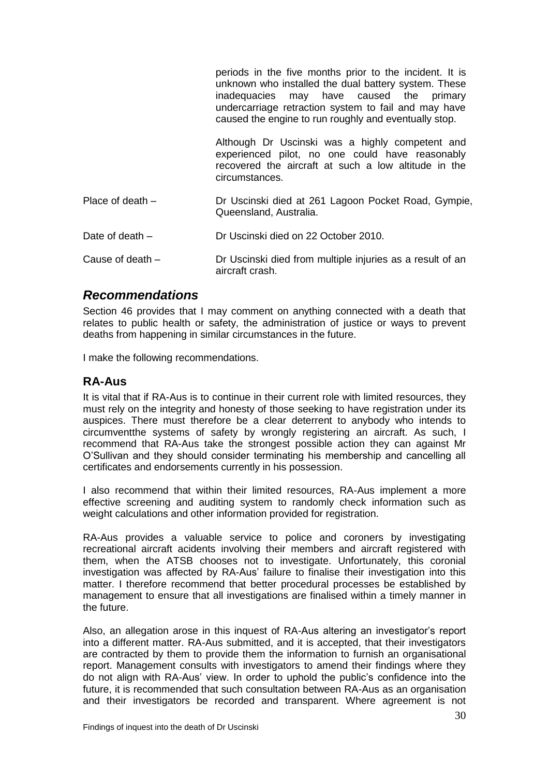|                    | periods in the five months prior to the incident. It is<br>unknown who installed the dual battery system. These<br>inadequacies may have caused the primary<br>undercarriage retraction system to fail and may have<br>caused the engine to run roughly and eventually stop. |
|--------------------|------------------------------------------------------------------------------------------------------------------------------------------------------------------------------------------------------------------------------------------------------------------------------|
|                    | Although Dr Uscinski was a highly competent and<br>experienced pilot, no one could have reasonably<br>recovered the aircraft at such a low altitude in the<br>circumstances.                                                                                                 |
| Place of death $-$ | Dr Uscinski died at 261 Lagoon Pocket Road, Gympie,<br>Queensland, Australia.                                                                                                                                                                                                |
| Date of death $-$  | Dr Uscinski died on 22 October 2010.                                                                                                                                                                                                                                         |
| Cause of death $-$ | Dr Uscinski died from multiple injuries as a result of an<br>aircraft crash.                                                                                                                                                                                                 |

### *Recommendations*

Section 46 provides that I may comment on anything connected with a death that relates to public health or safety, the administration of justice or ways to prevent deaths from happening in similar circumstances in the future.

I make the following recommendations.

### **RA-Aus**

It is vital that if RA-Aus is to continue in their current role with limited resources, they must rely on the integrity and honesty of those seeking to have registration under its auspices. There must therefore be a clear deterrent to anybody who intends to circumventthe systems of safety by wrongly registering an aircraft. As such, I recommend that RA-Aus take the strongest possible action they can against Mr O'Sullivan and they should consider terminating his membership and cancelling all certificates and endorsements currently in his possession.

I also recommend that within their limited resources, RA-Aus implement a more effective screening and auditing system to randomly check information such as weight calculations and other information provided for registration.

RA-Aus provides a valuable service to police and coroners by investigating recreational aircraft acidents involving their members and aircraft registered with them, when the ATSB chooses not to investigate. Unfortunately, this coronial investigation was affected by RA-Aus' failure to finalise their investigation into this matter. I therefore recommend that better procedural processes be established by management to ensure that all investigations are finalised within a timely manner in the future.

Also, an allegation arose in this inquest of RA-Aus altering an investigator's report into a different matter. RA-Aus submitted, and it is accepted, that their investigators are contracted by them to provide them the information to furnish an organisational report. Management consults with investigators to amend their findings where they do not align with RA-Aus' view. In order to uphold the public's confidence into the future, it is recommended that such consultation between RA-Aus as an organisation and their investigators be recorded and transparent. Where agreement is not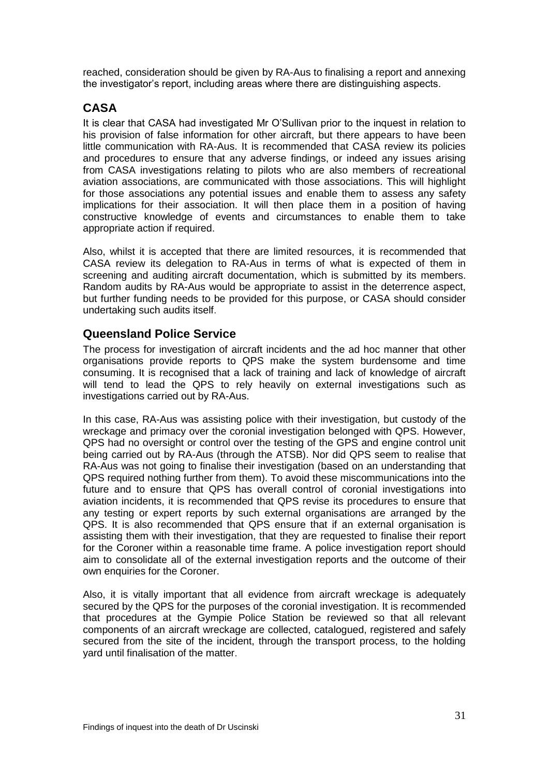reached, consideration should be given by RA-Aus to finalising a report and annexing the investigator's report, including areas where there are distinguishing aspects.

# **CASA**

It is clear that CASA had investigated Mr O'Sullivan prior to the inquest in relation to his provision of false information for other aircraft, but there appears to have been little communication with RA-Aus. It is recommended that CASA review its policies and procedures to ensure that any adverse findings, or indeed any issues arising from CASA investigations relating to pilots who are also members of recreational aviation associations, are communicated with those associations. This will highlight for those associations any potential issues and enable them to assess any safety implications for their association. It will then place them in a position of having constructive knowledge of events and circumstances to enable them to take appropriate action if required.

Also, whilst it is accepted that there are limited resources, it is recommended that CASA review its delegation to RA-Aus in terms of what is expected of them in screening and auditing aircraft documentation, which is submitted by its members. Random audits by RA-Aus would be appropriate to assist in the deterrence aspect, but further funding needs to be provided for this purpose, or CASA should consider undertaking such audits itself.

# **Queensland Police Service**

The process for investigation of aircraft incidents and the ad hoc manner that other organisations provide reports to QPS make the system burdensome and time consuming. It is recognised that a lack of training and lack of knowledge of aircraft will tend to lead the QPS to rely heavily on external investigations such as investigations carried out by RA-Aus.

In this case, RA-Aus was assisting police with their investigation, but custody of the wreckage and primacy over the coronial investigation belonged with QPS. However, QPS had no oversight or control over the testing of the GPS and engine control unit being carried out by RA-Aus (through the ATSB). Nor did QPS seem to realise that RA-Aus was not going to finalise their investigation (based on an understanding that QPS required nothing further from them). To avoid these miscommunications into the future and to ensure that QPS has overall control of coronial investigations into aviation incidents, it is recommended that QPS revise its procedures to ensure that any testing or expert reports by such external organisations are arranged by the QPS. It is also recommended that QPS ensure that if an external organisation is assisting them with their investigation, that they are requested to finalise their report for the Coroner within a reasonable time frame. A police investigation report should aim to consolidate all of the external investigation reports and the outcome of their own enquiries for the Coroner.

Also, it is vitally important that all evidence from aircraft wreckage is adequately secured by the QPS for the purposes of the coronial investigation. It is recommended that procedures at the Gympie Police Station be reviewed so that all relevant components of an aircraft wreckage are collected, catalogued, registered and safely secured from the site of the incident, through the transport process, to the holding yard until finalisation of the matter.